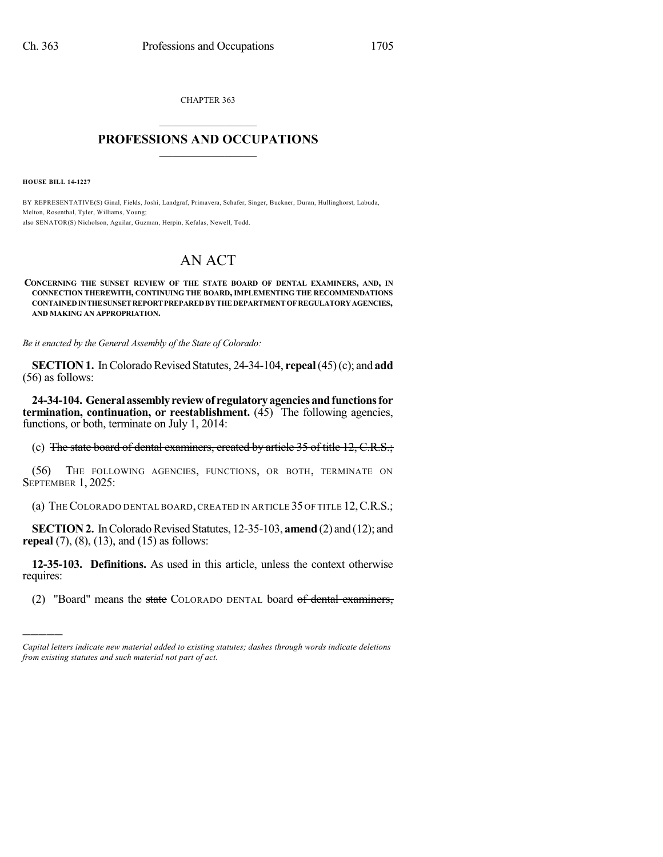CHAPTER 363  $\mathcal{L}_\text{max}$  . The set of the set of the set of the set of the set of the set of the set of the set of the set of the set of the set of the set of the set of the set of the set of the set of the set of the set of the set

# **PROFESSIONS AND OCCUPATIONS**  $\frac{1}{2}$  ,  $\frac{1}{2}$  ,  $\frac{1}{2}$  ,  $\frac{1}{2}$  ,  $\frac{1}{2}$  ,  $\frac{1}{2}$  ,  $\frac{1}{2}$

**HOUSE BILL 14-1227**

)))))

BY REPRESENTATIVE(S) Ginal, Fields, Joshi, Landgraf, Primavera, Schafer, Singer, Buckner, Duran, Hullinghorst, Labuda, Melton, Rosenthal, Tyler, Williams, Young; also SENATOR(S) Nicholson, Aguilar, Guzman, Herpin, Kefalas, Newell, Todd.

# AN ACT

#### **CONCERNING THE SUNSET REVIEW OF THE STATE BOARD OF DENTAL EXAMINERS, AND, IN CONNECTION THEREWITH, CONTINUING THE BOARD, IMPLEMENTING THE RECOMMENDATIONS CONTAINEDINTHESUNSETREPORTPREPAREDBYTHEDEPARTMENTOFREGULATORYAGENCIES, AND MAKING AN APPROPRIATION.**

*Be it enacted by the General Assembly of the State of Colorado:*

**SECTION 1.** In Colorado Revised Statutes, 24-34-104, **repeal** (45)(c); and **add** (56) as follows:

**24-34-104. Generalassemblyreviewof regulatoryagenciesandfunctionsfor termination, continuation, or reestablishment.** (45) The following agencies, functions, or both, terminate on July 1, 2014:

(c) The state board of dental examiners, created by article 35 of title 12, C.R.S.;

(56) THE FOLLOWING AGENCIES, FUNCTIONS, OR BOTH, TERMINATE ON SEPTEMBER 1, 2025:

(a) THECOLORADO DENTAL BOARD, CREATED IN ARTICLE 35 OF TITLE 12,C.R.S.;

**SECTION 2.** In Colorado Revised Statutes, 12-35-103, **amend** (2) and (12); and **repeal** (7), (8), (13), and (15) as follows:

**12-35-103. Definitions.** As used in this article, unless the context otherwise requires:

(2) "Board" means the state COLORADO DENTAL board of dental examiners,

*Capital letters indicate new material added to existing statutes; dashes through words indicate deletions from existing statutes and such material not part of act.*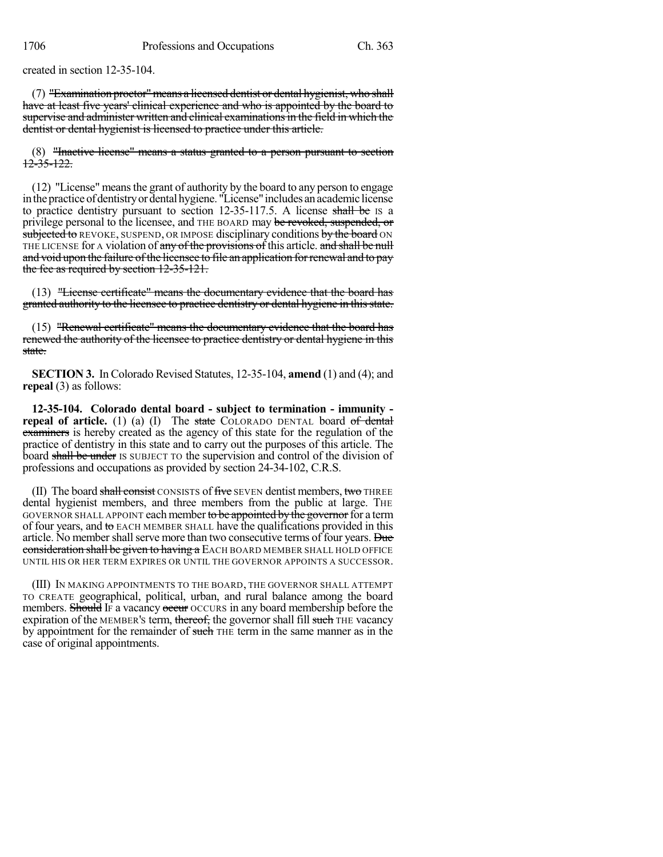created in section 12-35-104.

 $(7)$  "Examination proctor" means a licensed dentist or dental hygienist, who shall have at least five years' clinical experience and who is appointed by the board to supervise and administer written and clinical examinationsin the field in which the dentist or dental hygienist is licensed to practice under this article.

(8) "Inactive license" means a status granted to a person pursuant to section 12-35-122.

(12) "License" meansthe grant of authority by the board to any person to engage in the practice of dentistry or dental hygiene. "License" includes an academic license to practice dentistry pursuant to section 12-35-117.5. A license shall be IS a privilege personal to the licensee, and THE BOARD may be revoked, suspended, or subjected to REVOKE, SUSPEND, OR IMPOSE disciplinary conditions by the board ON THE LICENSE for A violation of any of the provisions of this article. and shall be null and void upon the failure of the licensee to file an application for renewal and to pay the fee as required by section 12-35-121.

(13) "License certificate" means the documentary evidence that the board has granted authority to the licensee to practice dentistry or dental hygiene in this state.

(15) "Renewal certificate" means the documentary evidence that the board has renewed the authority of the licensee to practice dentistry or dental hygiene in this state.

**SECTION 3.** In Colorado Revised Statutes, 12-35-104, **amend** (1) and (4); and **repeal** (3) as follows:

**12-35-104. Colorado dental board - subject to termination - immunity repeal of article.** (1) (a) (I) The state COLORADO DENTAL board of dental examiners is hereby created as the agency of this state for the regulation of the practice of dentistry in this state and to carry out the purposes of this article. The board shall be under IS SUBJECT TO the supervision and control of the division of professions and occupations as provided by section 24-34-102, C.R.S.

 $(II)$  The board shall consist CONSISTS of five SEVEN dentist members, two THREE dental hygienist members, and three members from the public at large. The GOVERNOR SHALL APPOINT each member to be appointed by the governor for a term of four years, and to EACH MEMBER SHALL have the qualifications provided in this article. No member shall serve more than two consecutive terms of four years. Due consideration shall be given to having a EACH BOARD MEMBER SHALL HOLD OFFICE UNTIL HIS OR HER TERM EXPIRES OR UNTIL THE GOVERNOR APPOINTS A SUCCESSOR.

(III) IN MAKING APPOINTMENTS TO THE BOARD, THE GOVERNOR SHALL ATTEMPT TO CREATE geographical, political, urban, and rural balance among the board members. Should IF a vacancy occurs in any board membership before the expiration of the MEMBER's term, thereof, the governor shall fill such THE vacancy by appointment for the remainder of such THE term in the same manner as in the case of original appointments.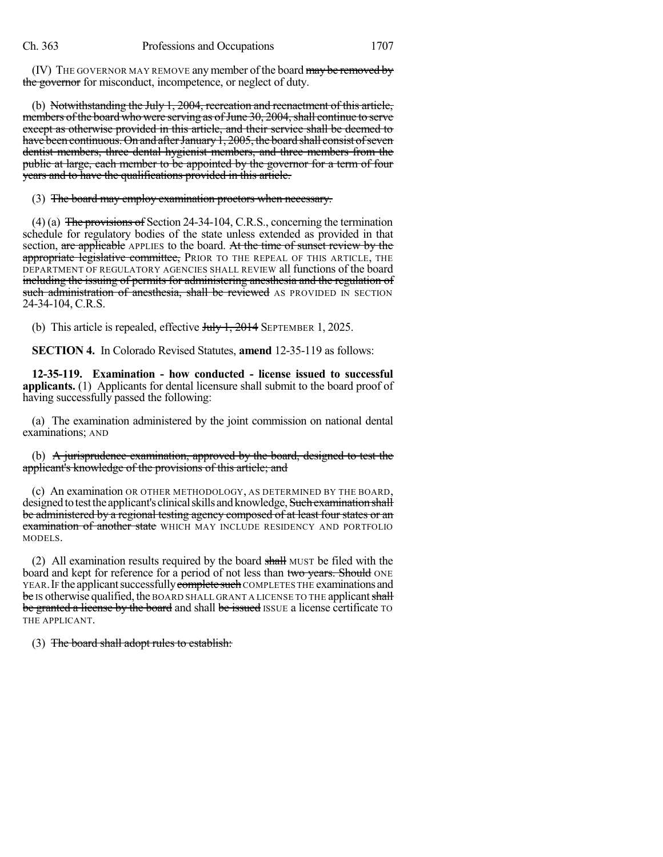(IV) THE GOVERNOR MAY REMOVE any member of the board may be removed by the governor for misconduct, incompetence, or neglect of duty.

(b) Notwithstanding the July 1, 2004, recreation and reenactment of this article, members of the board who were serving as of June 30, 2004, shall continue to serve except as otherwise provided in this article, and their service shall be deemed to have been continuous. On and after January 1, 2005, the board shall consist of seven dentist members, three dental hygienist members, and three members from the public at large, each member to be appointed by the governor for a term of four years and to have the qualifications provided in this article.

(3) The board may employ examination proctors when necessary.

(4) (a) The provisions of Section 24-34-104, C.R.S., concerning the termination schedule for regulatory bodies of the state unless extended as provided in that section, are applicable APPLIES to the board. At the time of sunset review by the appropriate legislative committee, PRIOR TO THE REPEAL OF THIS ARTICLE, THE DEPARTMENT OF REGULATORY AGENCIES SHALL REVIEW all functions of the board including the issuing of permits for administering anesthesia and the regulation of such administration of anesthesia, shall be reviewed AS PROVIDED IN SECTION 24-34-104, C.R.S.

(b) This article is repealed, effective  $J_{\text{t}}$ ,  $\frac{1}{2014}$  SEPTEMBER 1, 2025.

**SECTION 4.** In Colorado Revised Statutes, **amend** 12-35-119 as follows:

**12-35-119. Examination - how conducted - license issued to successful applicants.** (1) Applicants for dental licensure shall submit to the board proof of having successfully passed the following:

(a) The examination administered by the joint commission on national dental examinations; AND

(b) A jurisprudence examination, approved by the board, designed to test the applicant's knowledge of the provisions of this article; and

(c) An examination OR OTHER METHODOLOGY, AS DETERMINED BY THE BOARD, designed to test the applicant's clinical skills and knowledge, Such examination shall be administered by a regional testing agency composed of at least four states or an **examination of another state** WHICH MAY INCLUDE RESIDENCY AND PORTFOLIO MODELS.

(2) All examination results required by the board shall MUST be filed with the board and kept for reference for a period of not less than two years. Should ONE YEAR. IF the applicant successfully complete such COMPLETES THE examinations and be IS otherwise qualified, the BOARD SHALL GRANT A LICENSE TO THE applicant shall be granted a license by the board and shall be issued ISSUE a license certificate TO THE APPLICANT.

(3) The board shall adopt rules to establish: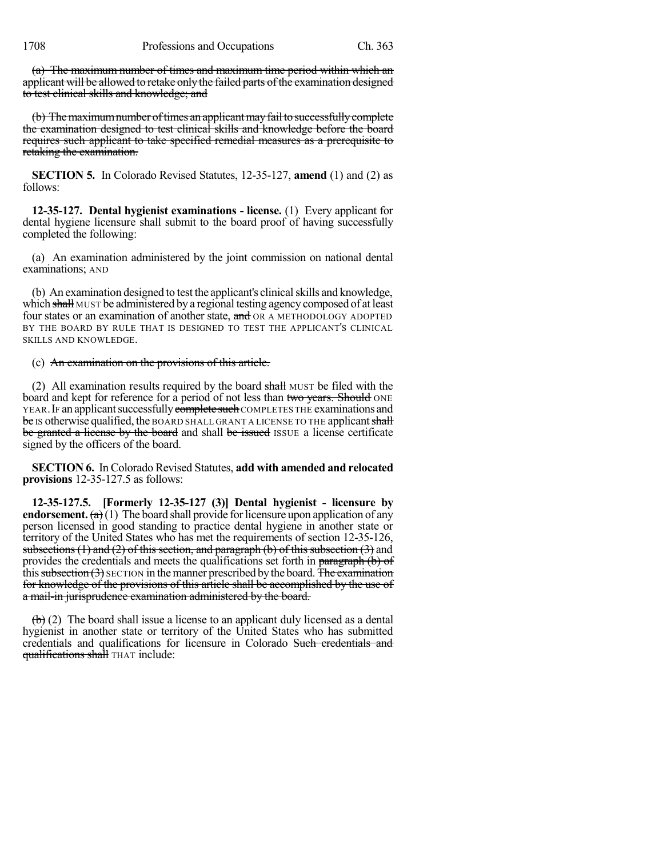(a) The maximum number of times and maximum time period within which an applicant will be allowed to retake only the failed parts of the examination designed to test clinical skills and knowledge; and

(b) The maximum number of times an applicant may fail to successfully complete the examination designed to test clinical skills and knowledge before the board requires such applicant to take specified remedial measures as a prerequisite to retaking the examination.

**SECTION 5.** In Colorado Revised Statutes, 12-35-127, **amend** (1) and (2) as follows:

**12-35-127. Dental hygienist examinations - license.** (1) Every applicant for dental hygiene licensure shall submit to the board proof of having successfully completed the following:

(a) An examination administered by the joint commission on national dental examinations; AND

(b) An examination designed to test the applicant's clinical skills and knowledge, which shall MUST be administered by a regional testing agency composed of at least four states or an examination of another state, and OR A METHODOLOGY ADOPTED BY THE BOARD BY RULE THAT IS DESIGNED TO TEST THE APPLICANT'S CLINICAL SKILLS AND KNOWLEDGE.

### (c) An examination on the provisions of this article.

(2) All examination results required by the board shall MUST be filed with the board and kept for reference for a period of not less than two years. Should ONE YEAR. IF an applicant successfully complete such COMPLETES THE examinations and be IS otherwise qualified, the BOARD SHALL GRANT A LICENSE TO THE applicant shall be granted a license by the board and shall be issued ISSUE a license certificate signed by the officers of the board.

**SECTION 6.** In Colorado Revised Statutes, **add with amended and relocated provisions** 12-35-127.5 as follows:

**12-35-127.5. [Formerly 12-35-127 (3)] Dental hygienist - licensure by endorsement.** (a)(1) The board shall provide for licensure upon application of any person licensed in good standing to practice dental hygiene in another state or territory of the United States who has met the requirements of section 12-35-126, subsections  $(1)$  and  $(2)$  of this section, and paragraph  $(b)$  of this subsection  $(3)$  and provides the credentials and meets the qualifications set forth in paragraph (b) of this subsection  $(3)$  SECTION in the manner prescribed by the board. The examination for knowledge of the provisions of this article shall be accomplished by the use of a mail-in jurisprudence examination administered by the board.

 $\left(\frac{b}{c}\right)$  (2) The board shall issue a license to an applicant duly licensed as a dental hygienist in another state or territory of the United States who has submitted credentials and qualifications for licensure in Colorado Such credentials and qualifications shall THAT include: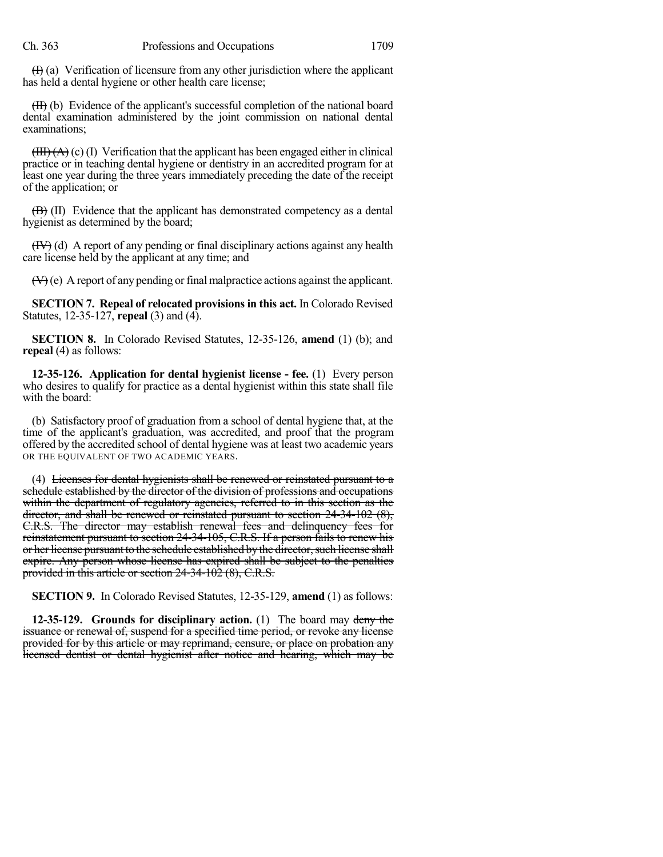$(H)$  (a) Verification of licensure from any other jurisdiction where the applicant has held a dental hygiene or other health care license;

(II) (b) Evidence of the applicant's successful completion of the national board dental examination administered by the joint commission on national dental examinations;

 $(HH)(A)(c)$  (I) Verification that the applicant has been engaged either in clinical practice or in teaching dental hygiene or dentistry in an accredited program for at least one year during the three years immediately preceding the date of the receipt of the application; or

 $\overline{(B)}$  (II) Evidence that the applicant has demonstrated competency as a dental hygienist as determined by the board;

 $(HV)$  (d) A report of any pending or final disciplinary actions against any health care license held by the applicant at any time; and

 $(\forall)$ (e) A report of any pending or final malpractice actions against the applicant.

**SECTION 7. Repeal of relocated provisionsin this act.** In Colorado Revised Statutes, 12-35-127, **repeal** (3) and (4).

**SECTION 8.** In Colorado Revised Statutes, 12-35-126, **amend** (1) (b); and **repeal** (4) as follows:

**12-35-126. Application for dental hygienist license - fee.** (1) Every person who desires to qualify for practice as a dental hygienist within this state shall file with the board:

(b) Satisfactory proof of graduation from a school of dental hygiene that, at the time of the applicant's graduation, was accredited, and proof that the program offered by the accredited school of dental hygiene was at least two academic years OR THE EQUIVALENT OF TWO ACADEMIC YEARS.

(4) Licenses for dental hygienists shall be renewed or reinstated pursuant to a schedule established by the director of the division of professions and occupations within the department of regulatory agencies, referred to in this section as the director, and shall be renewed or reinstated pursuant to section 24-34-102 (8), C.R.S. The director may establish renewal fees and delinquency fees for reinstatement pursuant to section 24-34-105, C.R.S. If a person fails to renew his or her license pursuant to the schedule established by the director, such license shall expire. Any person whose license has expired shall be subject to the penalties provided in this article or section 24-34-102 (8), C.R.S.

**SECTION 9.** In Colorado Revised Statutes, 12-35-129, **amend** (1) as follows:

**12-35-129. Grounds for disciplinary action.** (1) The board may deny the issuance or renewal of, suspend for a specified time period, or revoke any license provided for by this article or may reprimand, censure, or place on probation any licensed dentist or dental hygienist after notice and hearing, which may be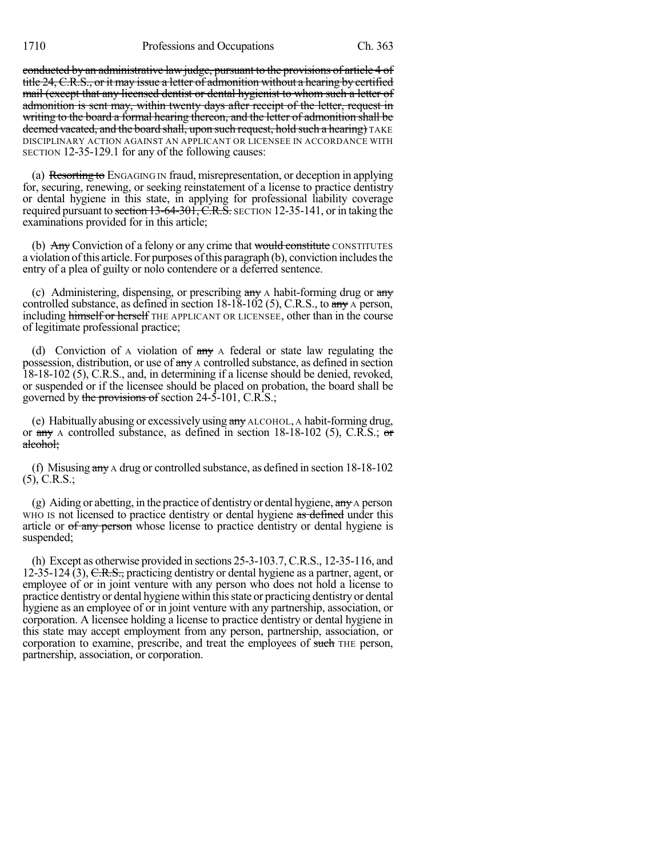conducted by an administrative law judge, pursuant to the provisions of article 4 of title 24, C.R.S., or it may issue a letter of admonition without a hearing by certified mail (except that any licensed dentist or dental hygienist to whom such a letter of admonition is sent may, within twenty days after receipt of the letter, request in writing to the board a formal hearing thereon, and the letter of admonition shall be deemed vacated, and the board shall, upon such request, hold such a hearing) TAKE DISCIPLINARY ACTION AGAINST AN APPLICANT OR LICENSEE IN ACCORDANCE WITH SECTION 12-35-129.1 for any of the following causes:

(a) Resorting to ENGAGING IN fraud, misrepresentation, or deception in applying for, securing, renewing, or seeking reinstatement of a license to practice dentistry or dental hygiene in this state, in applying for professional liability coverage required pursuant to section 13-64-301, C.R.S. SECTION 12-35-141, or in taking the examinations provided for in this article;

(b) Any Conviction of a felony or any crime that would constitute CONSTITUTES a violation of this article. For purposes of this paragraph (b), conviction includes the entry of a plea of guilty or nolo contendere or a deferred sentence.

(c) Administering, dispensing, or prescribing  $\frac{any}{ay}$  A habit-forming drug or  $\frac{any}{ay}$ controlled substance, as defined in section 18-18-102 (5), C.R.S., to any A person, including himself or herself THE APPLICANT OR LICENSEE, other than in the course of legitimate professional practice;

(d) Conviction of A violation of  $\frac{day}{dx}$  A federal or state law regulating the possession, distribution, or use of any A controlled substance, as defined in section 18-18-102 (5), C.R.S., and, in determining if a license should be denied, revoked, or suspended or if the licensee should be placed on probation, the board shall be governed by the provisions of section 24-5-101, C.R.S.;

(e) Habitually abusing or excessively using any ALCOHOL, A habit-forming drug, or  $\frac{18-18-102}{5}$ , A controlled substance, as defined in section 18-18-102 (5), C.R.S.; or alcohol;

(f) Misusing any A drug or controlled substance, as defined in section 18-18-102 (5), C.R.S.;

(g) Aiding or abetting, in the practice of dentistry or dental hygiene,  $\frac{day}{dx}$  person WHO IS not licensed to practice dentistry or dental hygiene as defined under this article or of any person whose license to practice dentistry or dental hygiene is suspended;

(h) Except as otherwise provided in sections 25-3-103.7, C.R.S., 12-35-116, and 12-35-124 (3),  $C.R.S.,$  practicing dentistry or dental hygiene as a partner, agent, or employee of or in joint venture with any person who does not hold a license to practice dentistry or dental hygiene within thisstate or practicing dentistry or dental hygiene as an employee of or in joint venture with any partnership, association, or corporation. A licensee holding a license to practice dentistry or dental hygiene in this state may accept employment from any person, partnership, association, or corporation to examine, prescribe, and treat the employees of such THE person, partnership, association, or corporation.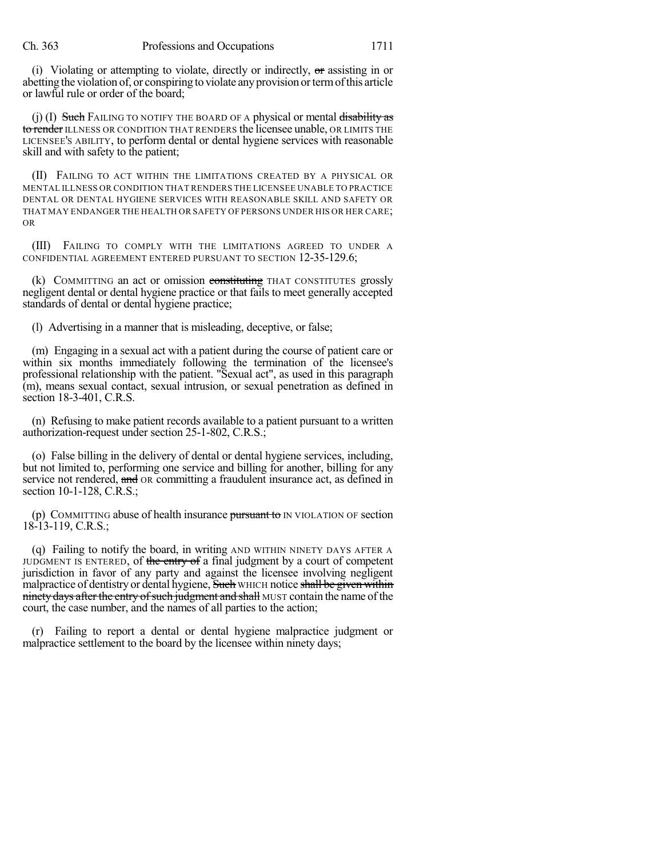(i) Violating or attempting to violate, directly or indirectly,  $\sigma$  assisting in or abetting the violation of, or conspiring to violate anyprovision ortermofthis article or lawful rule or order of the board;

(j) (I) Such FAILING TO NOTIFY THE BOARD OF A physical or mental disability as to render ILLNESS OR CONDITION THAT RENDERS the licensee unable, OR LIMITS THE LICENSEE'S ABILITY, to perform dental or dental hygiene services with reasonable skill and with safety to the patient;

(II) FAILING TO ACT WITHIN THE LIMITATIONS CREATED BY A PHYSICAL OR MENTAL ILLNESS OR CONDITION THAT RENDERS THE LICENSEE UNABLE TO PRACTICE DENTAL OR DENTAL HYGIENE SERVICES WITH REASONABLE SKILL AND SAFETY OR THAT MAY ENDANGER THE HEALTH OR SAFETY OF PERSONS UNDER HIS OR HER CARE; OR

(III) FAILING TO COMPLY WITH THE LIMITATIONS AGREED TO UNDER A CONFIDENTIAL AGREEMENT ENTERED PURSUANT TO SECTION 12-35-129.6;

(k) COMMITTING an act or omission constituting THAT CONSTITUTES grossly negligent dental or dental hygiene practice or that fails to meet generally accepted standards of dental or dental hygiene practice;

(l) Advertising in a manner that is misleading, deceptive, or false;

(m) Engaging in a sexual act with a patient during the course of patient care or within six months immediately following the termination of the licensee's professional relationship with the patient. "Sexual act", as used in this paragraph (m), means sexual contact, sexual intrusion, or sexual penetration as defined in section 18-3-401, C.R.S.

(n) Refusing to make patient records available to a patient pursuant to a written authorization-request under section 25-1-802, C.R.S.;

(o) False billing in the delivery of dental or dental hygiene services, including, but not limited to, performing one service and billing for another, billing for any service not rendered, and OR committing a fraudulent insurance act, as defined in section 10-1-128, C.R.S.;

(p) COMMITTING abuse of health insurance  $\frac{\text{pursuant to}}{\text{m} \times \text{N}}$  of section 18-13-119, C.R.S.;

(q) Failing to notify the board, in writing AND WITHIN NINETY DAYS AFTER A JUDGMENT IS ENTERED, of the entry of a final judgment by a court of competent jurisdiction in favor of any party and against the licensee involving negligent malpractice of dentistry or dental hygiene, Such WHICH notice shall be given within ninety days after the entry of such judgment and shall MUST contain the name of the court, the case number, and the names of all parties to the action;

(r) Failing to report a dental or dental hygiene malpractice judgment or malpractice settlement to the board by the licensee within ninety days;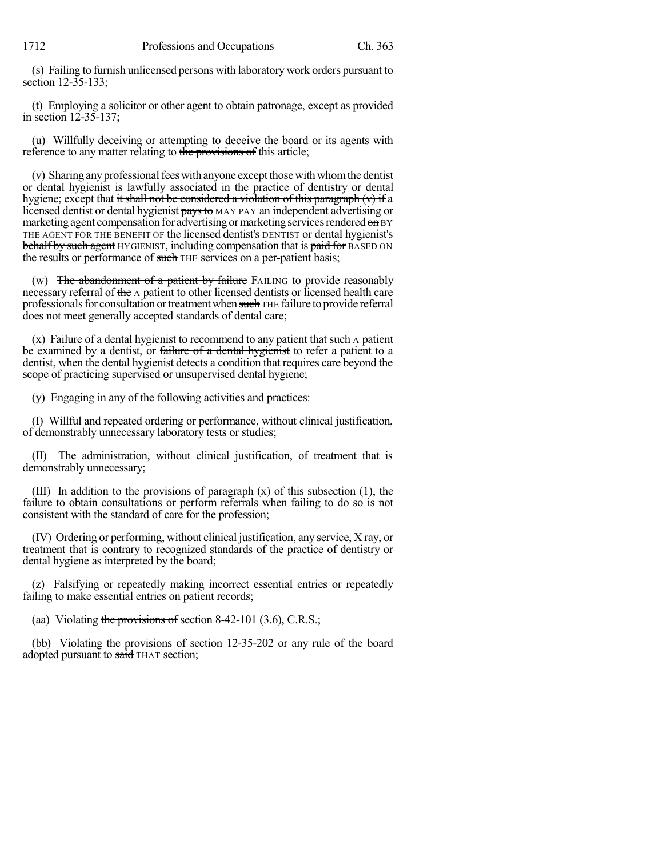(s) Failing to furnish unlicensed persons with laboratory work orders pursuant to section 12-35-133;

(t) Employing a solicitor or other agent to obtain patronage, except as provided in section 12-35-137;

(u) Willfully deceiving or attempting to deceive the board or its agents with reference to any matter relating to the provisions of this article;

(v) Sharing any professional fees with anyone except those with whom the dentist or dental hygienist is lawfully associated in the practice of dentistry or dental hygiene; except that it shall not be considered a violation of this paragraph  $(v)$  if a licensed dentist or dental hygienist pays to MAY PAY an independent advertising or marketing agent compensation for advertising or marketing services rendered on BY THE AGENT FOR THE BENEFIT OF the licensed dentist's DENTIST or dental hygienist's behalf by such agent HYGIENIST, including compensation that is paid for BASED ON the results or performance of such THE services on a per-patient basis;

(w) The abandonment of a patient by failure FAILING to provide reasonably necessary referral of the A patient to other licensed dentists or licensed health care professionals for consultation or treatment when such THE failure to provide referral does not meet generally accepted standards of dental care;

(x) Failure of a dental hygienist to recommend to any patient that such  $\overline{A}$  patient be examined by a dentist, or failure of a dental hygienist to refer a patient to a dentist, when the dental hygienist detects a condition that requires care beyond the scope of practicing supervised or unsupervised dental hygiene;

(y) Engaging in any of the following activities and practices:

(I) Willful and repeated ordering or performance, without clinical justification, of demonstrably unnecessary laboratory tests or studies;

(II) The administration, without clinical justification, of treatment that is demonstrably unnecessary;

(III) In addition to the provisions of paragraph (x) of this subsection (1), the failure to obtain consultations or perform referrals when failing to do so is not consistent with the standard of care for the profession;

(IV) Ordering or performing, without clinical justification, any service, X ray, or treatment that is contrary to recognized standards of the practice of dentistry or dental hygiene as interpreted by the board;

(z) Falsifying or repeatedly making incorrect essential entries or repeatedly failing to make essential entries on patient records;

(aa) Violating the provisions of section 8-42-101  $(3.6)$ , C.R.S.;

(bb) Violating the provisions of section 12-35-202 or any rule of the board adopted pursuant to said THAT section;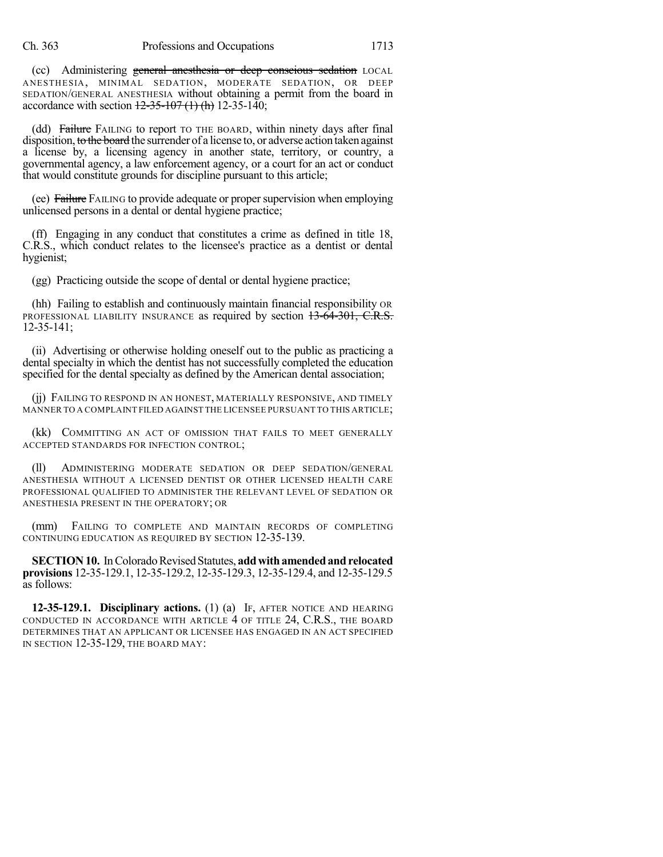(cc) Administering general anesthesia or deep conscious sedation LOCAL ANESTHESIA, MINIMAL SEDATION, MODERATE SEDATION, OR DEEP SEDATION/GENERAL ANESTHESIA without obtaining a permit from the board in accordance with section  $12-35-107(1)$  (h) 12-35-140;

(dd) Failure FAILING to report TO THE BOARD, within ninety days after final disposition, to the board the surrender of a license to, or adverse action taken against a license by, a licensing agency in another state, territory, or country, a governmental agency, a law enforcement agency, or a court for an act or conduct that would constitute grounds for discipline pursuant to this article;

(ee) Failure FAILING to provide adequate or propersupervision when employing unlicensed persons in a dental or dental hygiene practice;

(ff) Engaging in any conduct that constitutes a crime as defined in title 18, C.R.S., which conduct relates to the licensee's practice as a dentist or dental hygienist;

(gg) Practicing outside the scope of dental or dental hygiene practice;

(hh) Failing to establish and continuously maintain financial responsibility OR PROFESSIONAL LIABILITY INSURANCE as required by section 13-64-301, C.R.S. 12-35-141;

(ii) Advertising or otherwise holding oneself out to the public as practicing a dental specialty in which the dentist has not successfully completed the education specified for the dental specialty as defined by the American dental association;

(jj) FAILING TO RESPOND IN AN HONEST, MATERIALLY RESPONSIVE, AND TIMELY MANNER TO A COMPLAINT FILED AGAINST THE LICENSEE PURSUANT TO THIS ARTICLE;

(kk) COMMITTING AN ACT OF OMISSION THAT FAILS TO MEET GENERALLY ACCEPTED STANDARDS FOR INFECTION CONTROL;

(ll) ADMINISTERING MODERATE SEDATION OR DEEP SEDATION/GENERAL ANESTHESIA WITHOUT A LICENSED DENTIST OR OTHER LICENSED HEALTH CARE PROFESSIONAL QUALIFIED TO ADMINISTER THE RELEVANT LEVEL OF SEDATION OR ANESTHESIA PRESENT IN THE OPERATORY; OR

(mm) FAILING TO COMPLETE AND MAINTAIN RECORDS OF COMPLETING CONTINUING EDUCATION AS REQUIRED BY SECTION 12-35-139.

**SECTION 10.** In Colorado Revised Statutes, add with amended and relocated **provisions** 12-35-129.1, 12-35-129.2, 12-35-129.3, 12-35-129.4, and 12-35-129.5 as follows:

**12-35-129.1. Disciplinary actions.** (1) (a) IF, AFTER NOTICE AND HEARING CONDUCTED IN ACCORDANCE WITH ARTICLE 4 OF TITLE 24, C.R.S., THE BOARD DETERMINES THAT AN APPLICANT OR LICENSEE HAS ENGAGED IN AN ACT SPECIFIED IN SECTION 12-35-129, THE BOARD MAY: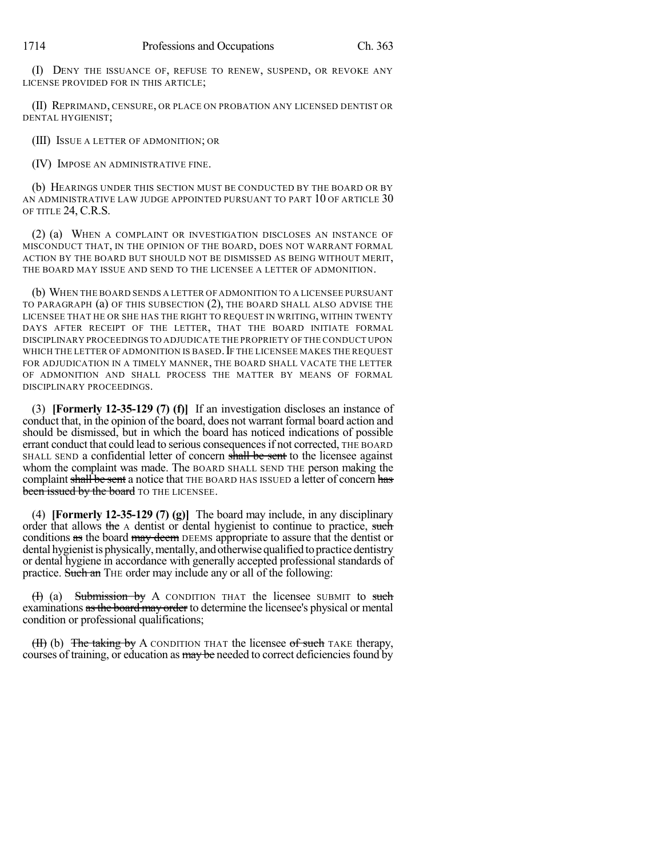(I) DENY THE ISSUANCE OF, REFUSE TO RENEW, SUSPEND, OR REVOKE ANY LICENSE PROVIDED FOR IN THIS ARTICLE;

(II) REPRIMAND, CENSURE, OR PLACE ON PROBATION ANY LICENSED DENTIST OR DENTAL HYGIENIST;

(III) ISSUE A LETTER OF ADMONITION; OR

(IV) IMPOSE AN ADMINISTRATIVE FINE.

(b) HEARINGS UNDER THIS SECTION MUST BE CONDUCTED BY THE BOARD OR BY AN ADMINISTRATIVE LAW JUDGE APPOINTED PURSUANT TO PART 10 OF ARTICLE 30 OF TITLE 24, C.R.S.

(2) (a) WHEN A COMPLAINT OR INVESTIGATION DISCLOSES AN INSTANCE OF MISCONDUCT THAT, IN THE OPINION OF THE BOARD, DOES NOT WARRANT FORMAL ACTION BY THE BOARD BUT SHOULD NOT BE DISMISSED AS BEING WITHOUT MERIT, THE BOARD MAY ISSUE AND SEND TO THE LICENSEE A LETTER OF ADMONITION.

(b) WHEN THE BOARD SENDS A LETTER OF ADMONITION TO A LICENSEE PURSUANT TO PARAGRAPH (a) OF THIS SUBSECTION (2), THE BOARD SHALL ALSO ADVISE THE LICENSEE THAT HE OR SHE HAS THE RIGHT TO REQUEST IN WRITING, WITHIN TWENTY DAYS AFTER RECEIPT OF THE LETTER, THAT THE BOARD INITIATE FORMAL DISCIPLINARY PROCEEDINGS TO ADJUDICATE THE PROPRIETY OF THE CONDUCT UPON WHICH THE LETTER OF ADMONITION IS BASED. IF THE LICENSEE MAKES THE REQUEST FOR ADJUDICATION IN A TIMELY MANNER, THE BOARD SHALL VACATE THE LETTER OF ADMONITION AND SHALL PROCESS THE MATTER BY MEANS OF FORMAL DISCIPLINARY PROCEEDINGS.

(3) **[Formerly 12-35-129 (7) (f)]** If an investigation discloses an instance of conduct that, in the opinion of the board, does not warrant formal board action and should be dismissed, but in which the board has noticed indications of possible errant conduct that could lead to serious consequencesif not corrected, THE BOARD SHALL SEND a confidential letter of concern shall be sent to the licensee against whom the complaint was made. The BOARD SHALL SEND THE person making the complaint shall be sent a notice that THE BOARD HAS ISSUED a letter of concern has been issued by the board TO THE LICENSEE.

(4) **[Formerly 12-35-129 (7) (g)]** The board may include, in any disciplinary order that allows the A dentist or dental hygienist to continue to practice, such conditions as the board may deem DEEMS appropriate to assure that the dentist or dental hygienist is physically, mentally, and otherwise qualified to practice dentistry or dental hygiene in accordance with generally accepted professional standards of practice. Such an THE order may include any or all of the following:

 $(H)$  (a) Submission by A CONDITION THAT the licensee SUBMIT to such examinations as the board may order to determine the licensee's physical or mental condition or professional qualifications;

(II) (b) The taking by A CONDITION THAT the licensee of such TAKE therapy, courses of training, or education as may be needed to correct deficiencies found by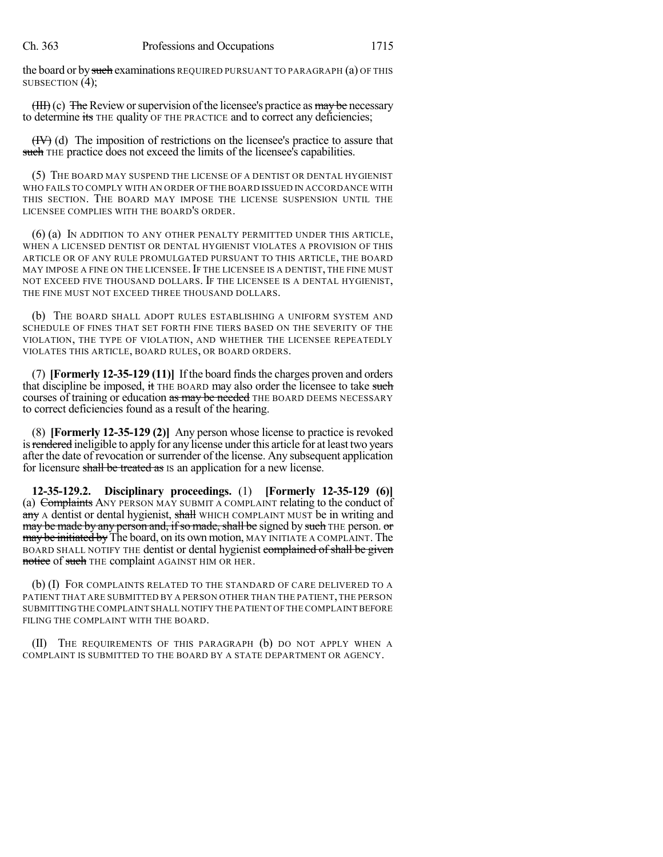the board or by such examinations REQUIRED PURSUANT TO PARAGRAPH (a) OF THIS SUBSECTION (4);

 $(HH)(c)$  The Review or supervision of the licensee's practice as may be necessary to determine its THE quality OF THE PRACTICE and to correct any deficiencies;

(IV) (d) The imposition of restrictions on the licensee's practice to assure that such THE practice does not exceed the limits of the licensee's capabilities.

(5) THE BOARD MAY SUSPEND THE LICENSE OF A DENTIST OR DENTAL HYGIENIST WHO FAILS TO COMPLY WITH AN ORDER OF THE BOARD ISSUED IN ACCORDANCE WITH THIS SECTION. THE BOARD MAY IMPOSE THE LICENSE SUSPENSION UNTIL THE LICENSEE COMPLIES WITH THE BOARD'S ORDER.

(6) (a) IN ADDITION TO ANY OTHER PENALTY PERMITTED UNDER THIS ARTICLE, WHEN A LICENSED DENTIST OR DENTAL HYGIENIST VIOLATES A PROVISION OF THIS ARTICLE OR OF ANY RULE PROMULGATED PURSUANT TO THIS ARTICLE, THE BOARD MAY IMPOSE A FINE ON THE LICENSEE.IF THE LICENSEE IS A DENTIST, THE FINE MUST NOT EXCEED FIVE THOUSAND DOLLARS. IF THE LICENSEE IS A DENTAL HYGIENIST, THE FINE MUST NOT EXCEED THREE THOUSAND DOLLARS.

(b) THE BOARD SHALL ADOPT RULES ESTABLISHING A UNIFORM SYSTEM AND SCHEDULE OF FINES THAT SET FORTH FINE TIERS BASED ON THE SEVERITY OF THE VIOLATION, THE TYPE OF VIOLATION, AND WHETHER THE LICENSEE REPEATEDLY VIOLATES THIS ARTICLE, BOARD RULES, OR BOARD ORDERS.

(7) **[Formerly 12-35-129 (11)]** If the board findsthe charges proven and orders that discipline be imposed, if THE BOARD may also order the licensee to take such courses of training or education as may be needed THE BOARD DEEMS NECESSARY to correct deficiencies found as a result of the hearing.

(8) **[Formerly 12-35-129 (2)]** Any person whose license to practice is revoked is rendered ineligible to apply for any license under this article for at least two years after the date of revocation orsurrender of the license. Any subsequent application for licensure shall be treated as IS an application for a new license.

**12-35-129.2. Disciplinary proceedings.** (1) **[Formerly 12-35-129 (6)]** (a) Complaints ANY PERSON MAY SUBMIT A COMPLAINT relating to the conduct of any A dentist or dental hygienist, shall WHICH COMPLAINT MUST be in writing and may be made by any person and, if so made, shall be signed by such THE person. or may be initiated by The board, on its own motion, MAY INITIATE A COMPLAINT. The BOARD SHALL NOTIFY THE dentist or dental hygienist complained of shall be given notice of such THE complaint AGAINST HIM OR HER.

(b) (I) FOR COMPLAINTS RELATED TO THE STANDARD OF CARE DELIVERED TO A PATIENT THAT ARE SUBMITTED BY A PERSON OTHER THAN THE PATIENT, THE PERSON SUBMITTINGTHE COMPLAINT SHALL NOTIFY THE PATIENT OF THE COMPLAINTBEFORE FILING THE COMPLAINT WITH THE BOARD.

(II) THE REQUIREMENTS OF THIS PARAGRAPH (b) DO NOT APPLY WHEN A COMPLAINT IS SUBMITTED TO THE BOARD BY A STATE DEPARTMENT OR AGENCY.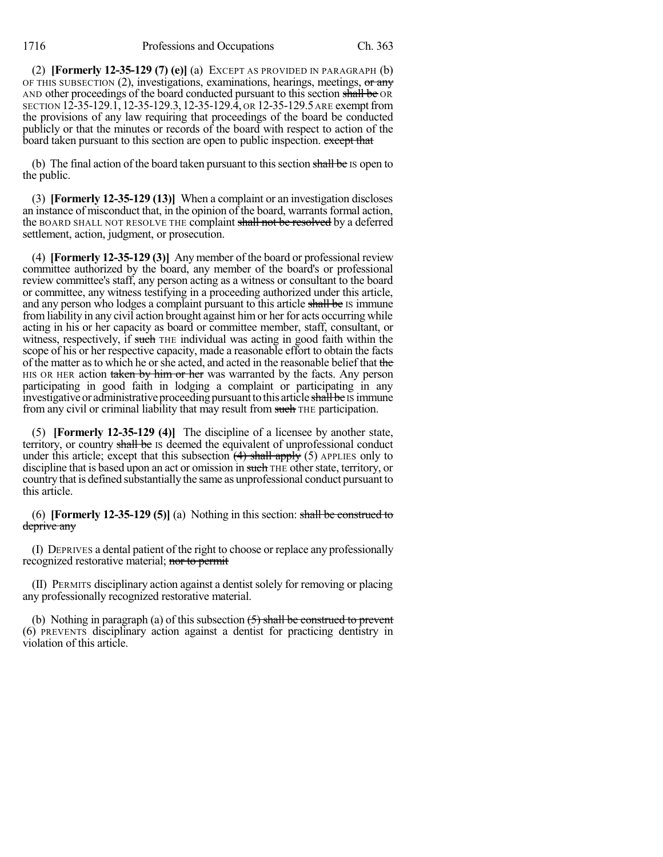(2) **[Formerly 12-35-129 (7) (e)]** (a) EXCEPT AS PROVIDED IN PARAGRAPH (b) OF THIS SUBSECTION  $(2)$ , investigations, examinations, hearings, meetings, or any AND other proceedings of the board conducted pursuant to this section shall be OR SECTION 12-35-129.1, 12-35-129.3, 12-35-129.4, OR 12-35-129.5 ARE exempt from the provisions of any law requiring that proceedings of the board be conducted publicly or that the minutes or records of the board with respect to action of the board taken pursuant to this section are open to public inspection. except that

(b) The final action of the board taken pursuant to this section shall be IS open to the public.

(3) **[Formerly 12-35-129 (13)]** When a complaint or an investigation discloses an instance of misconduct that, in the opinion of the board, warrantsformal action, the BOARD SHALL NOT RESOLVE THE complaint shall not be resolved by a deferred settlement, action, judgment, or prosecution.

(4) **[Formerly 12-35-129 (3)]** Any member of the board or professional review committee authorized by the board, any member of the board's or professional review committee's staff, any person acting as a witness or consultant to the board or committee, any witness testifying in a proceeding authorized under this article, and any person who lodges a complaint pursuant to this article shall be IS immune fromliability in any civil action brought against himor her for acts occurring while acting in his or her capacity as board or committee member, staff, consultant, or witness, respectively, if such THE individual was acting in good faith within the scope of his or her respective capacity, made a reasonable effort to obtain the facts of the matter as to which he or she acted, and acted in the reasonable belief that the HIS OR HER action taken by him or her was warranted by the facts. Any person participating in good faith in lodging a complaint or participating in any investigative or administrative proceeding pursuant to this article shall be IS immune from any civil or criminal liability that may result from such THE participation.

(5) **[Formerly 12-35-129 (4)]** The discipline of a licensee by another state, territory, or country shall be IS deemed the equivalent of unprofessional conduct under this article; except that this subsection  $\left(4\right)$  shall apply (5) APPLIES only to discipline that is based upon an act or omission in such THE other state, territory, or country that is defined substantially the same as unprofessional conduct pursuant to this article.

(6) **[Formerly 12-35-129 (5)]** (a) Nothing in this section: shall be construed to deprive any

(I) DEPRIVES a dental patient of the right to choose or replace any professionally recognized restorative material; nor to permit

(II) PERMITS disciplinary action against a dentist solely for removing or placing any professionally recognized restorative material.

(b) Nothing in paragraph (a) of this subsection  $(5)$  shall be construed to prevent (6) PREVENTS disciplinary action against a dentist for practicing dentistry in violation of this article.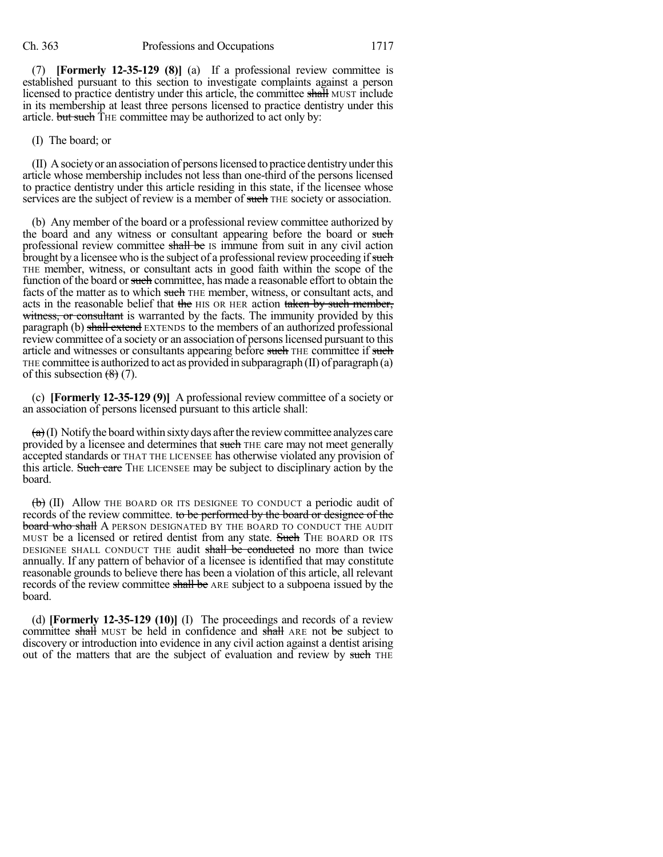(7) **[Formerly 12-35-129 (8)]** (a) If a professional review committee is established pursuant to this section to investigate complaints against a person licensed to practice dentistry under this article, the committee shall MUST include in its membership at least three persons licensed to practice dentistry under this article. but such THE committee may be authorized to act only by:

## (I) The board; or

(II) Asocietyor an association of personslicensed to practice dentistryunderthis article whose membership includes not less than one-third of the persons licensed to practice dentistry under this article residing in this state, if the licensee whose services are the subject of review is a member of such THE society or association.

(b) Any member of the board or a professional review committee authorized by the board and any witness or consultant appearing before the board or such professional review committee shall be IS immune from suit in any civil action brought by a licensee who is the subject of a professional review proceeding if such THE member, witness, or consultant acts in good faith within the scope of the function of the board or such committee, has made a reasonable effort to obtain the facts of the matter as to which such THE member, witness, or consultant acts, and acts in the reasonable belief that the HIS OR HER action taken by such member, witness, or consultant is warranted by the facts. The immunity provided by this paragraph (b) shall extend EXTENDS to the members of an authorized professional review committee of a society or an association of personslicensed pursuant to this article and witnesses or consultants appearing before such THE committee if such THE committee is authorized to act as provided in subparagraph  $(II)$  of paragraph  $(a)$ of this subsection  $(8)$  (7).

(c) **[Formerly 12-35-129 (9)]** A professional review committee of a society or an association of persons licensed pursuant to this article shall:

 $(a)$ (I) Notify the board within sixty days after the review committee analyzes care provided by a licensee and determines that such THE care may not meet generally accepted standards or THAT THE LICENSEE has otherwise violated any provision of this article. Such care THE LICENSEE may be subject to disciplinary action by the board.

 $\left(\mathbf{b}\right)$  (II) Allow THE BOARD OR ITS DESIGNEE TO CONDUCT a periodic audit of records of the review committee. to be performed by the board or designee of the board who shall A PERSON DESIGNATED BY THE BOARD TO CONDUCT THE AUDIT MUST be a licensed or retired dentist from any state. Such THE BOARD OR ITS DESIGNEE SHALL CONDUCT THE audit shall be conducted no more than twice annually. If any pattern of behavior of a licensee is identified that may constitute reasonable grounds to believe there has been a violation of this article, all relevant records of the review committee shall be ARE subject to a subpoena issued by the board.

(d) **[Formerly 12-35-129 (10)]** (I) The proceedings and records of a review committee shall MUST be held in confidence and shall ARE not be subject to discovery or introduction into evidence in any civil action against a dentist arising out of the matters that are the subject of evaluation and review by such THE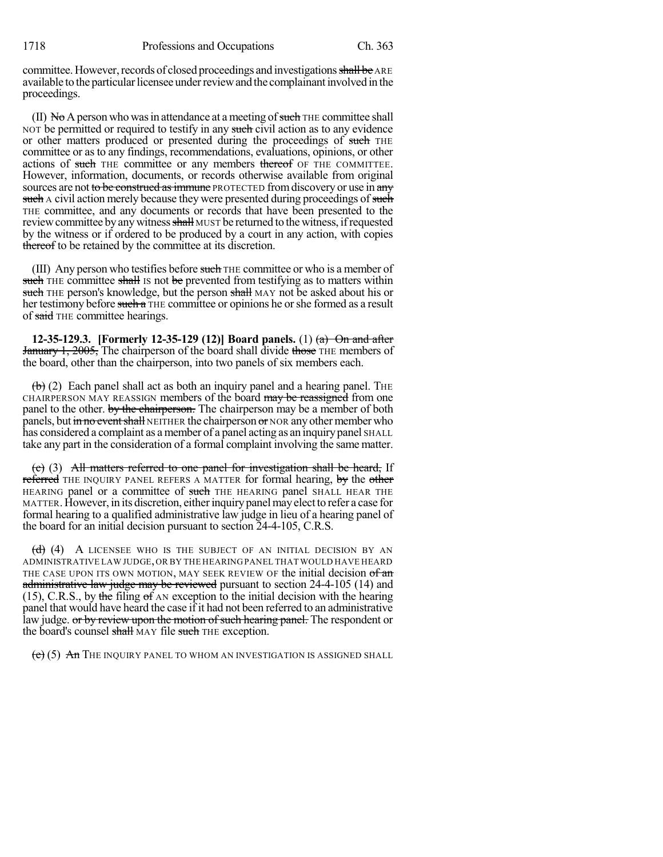committee. However, records of closed proceedings and investigations shall be ARE available to the particular licensee under review and the complainant involved in the proceedings.

 $(II)$  No A person who was in attendance at a meeting of such THE committee shall NOT be permitted or required to testify in any such civil action as to any evidence or other matters produced or presented during the proceedings of such THE committee or as to any findings, recommendations, evaluations, opinions, or other actions of such THE committee or any members thereof OF THE COMMITTEE. However, information, documents, or records otherwise available from original sources are not to be construed as immune PROTECTED from discovery or use in any such A civil action merely because they were presented during proceedings of such THE committee, and any documents or records that have been presented to the review committee by any witness shall MUST be returned to the witness, if requested by the witness or if ordered to be produced by a court in any action, with copies thereof to be retained by the committee at its discretion.

(III) Any person who testifies before such THE committee or who is a member of such THE committee shall IS not be prevented from testifying as to matters within such THE person's knowledge, but the person shall MAY not be asked about his or her testimony before such a THE committee or opinions he or she formed as a result of said THE committee hearings.

**12-35-129.3. [Formerly 12-35-129 (12)] Board panels.** (1) (a) On and after **January 1, 2005,** The chairperson of the board shall divide those THE members of the board, other than the chairperson, into two panels of six members each.

 $\left(\frac{b}{c}\right)$  (2) Each panel shall act as both an inquiry panel and a hearing panel. The CHAIRPERSON MAY REASSIGN members of the board may be reassigned from one panel to the other. by the chairperson. The chairperson may be a member of both panels, but in no event shall NEITHER the chairperson or NOR any other member who has considered a complaint as a member of a panel acting as an inquiry panel SHALL take any part in the consideration of a formal complaint involving the same matter.

 $(c)$  (3) All matters referred to one panel for investigation shall be heard, If referred THE INQUIRY PANEL REFERS A MATTER for formal hearing, by the other HEARING panel or a committee of such THE HEARING panel SHALL HEAR THE MATTER. However, in its discretion, either inquiry panel may elect to refer a case for formal hearing to a qualified administrative law judge in lieu of a hearing panel of the board for an initial decision pursuant to section 24-4-105, C.R.S.

(d) (4) A LICENSEE WHO IS THE SUBJECT OF AN INITIAL DECISION BY AN ADMINISTRATIVE LAW JUDGE,OR BY THE HEARING PANEL THAT WOULD HAVE HEARD THE CASE UPON ITS OWN MOTION, MAY SEEK REVIEW OF the initial decision of an administrative law judge may be reviewed pursuant to section 24-4-105 (14) and (15), C.R.S., by the filing of AN exception to the initial decision with the hearing panel that would have heard the case if it had not been referred to an administrative law judge. or by review upon the motion of such hearing panel. The respondent or the board's counsel shall MAY file such THE exception.

 $(e)$  (5) An The Inquiry panel to whom an investigation is assigned shall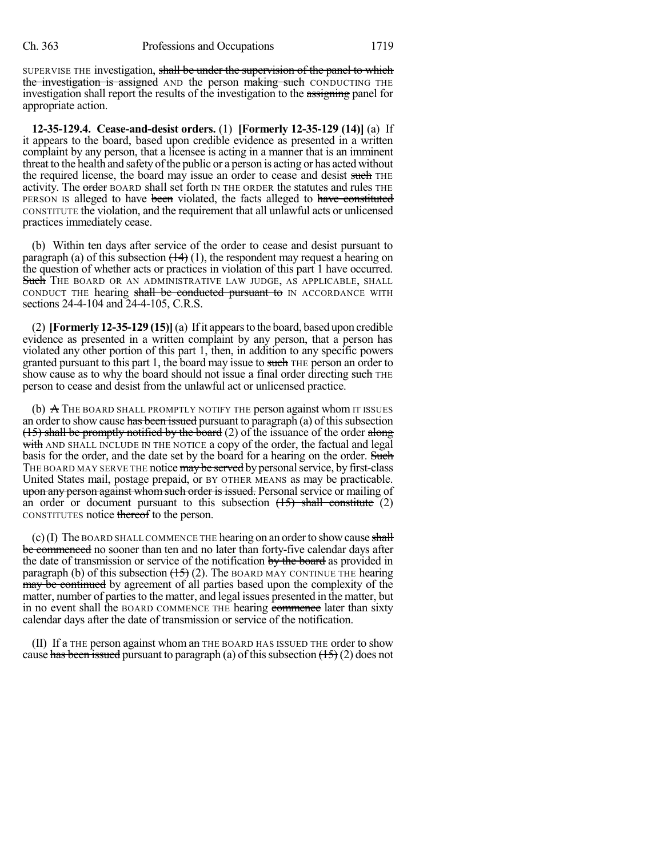SUPERVISE THE investigation, shall be under the supervision of the panel to which the investigation is assigned AND the person making such CONDUCTING THE investigation shall report the results of the investigation to the assigning panel for appropriate action.

**12-35-129.4. Cease-and-desist orders.** (1) **[Formerly 12-35-129 (14)]** (a) If it appears to the board, based upon credible evidence as presented in a written complaint by any person, that a licensee is acting in a manner that is an imminent threat to the health and safety of the public or a person is acting or has acted without the required license, the board may issue an order to cease and desist such THE activity. The order BOARD shall set forth IN THE ORDER the statutes and rules THE PERSON IS alleged to have been violated, the facts alleged to have constituted CONSTITUTE the violation, and the requirement that all unlawful acts or unlicensed practices immediately cease.

(b) Within ten days after service of the order to cease and desist pursuant to paragraph (a) of this subsection  $(14)$  (1), the respondent may request a hearing on the question of whether acts or practices in violation of this part 1 have occurred. Such THE BOARD OR AN ADMINISTRATIVE LAW JUDGE, AS APPLICABLE, SHALL CONDUCT THE hearing shall be conducted pursuant to IN ACCORDANCE WITH sections 24-4-104 and 24-4-105, C.R.S.

(2) **[Formerly 12-35-129 (15)]**(a) Ifit appearsto the board, based upon credible evidence as presented in a written complaint by any person, that a person has violated any other portion of this part 1, then, in addition to any specific powers granted pursuant to this part 1, the board may issue to such THE person an order to show cause as to why the board should not issue a final order directing such THE person to cease and desist from the unlawful act or unlicensed practice.

(b)  $\overline{A}$  The BOARD SHALL PROMPTLY NOTIFY THE person against whom IT ISSUES an order to show cause has been issued pursuant to paragraph (a) of this subsection  $(15)$  shall be promptly notified by the board (2) of the issuance of the order along with AND SHALL INCLUDE IN THE NOTICE a copy of the order, the factual and legal basis for the order, and the date set by the board for a hearing on the order. Such THE BOARD MAY SERVE THE notice may be served by personal service, by first-class United States mail, postage prepaid, or BY OTHER MEANS as may be practicable. upon any person against whom such order is issued. Personal service or mailing of an order or document pursuant to this subsection  $(\frac{15}{15})$  shall constitute (2) CONSTITUTES notice thereof to the person.

(c)(I) The BOARD SHALL COMMENCE THE hearing on an order to show cause shall be commenced no sooner than ten and no later than forty-five calendar days after the date of transmission or service of the notification by the board as provided in paragraph (b) of this subsection  $(15)$  (2). The BOARD MAY CONTINUE THE hearing may be continued by agreement of all parties based upon the complexity of the matter, number of parties to the matter, and legal issues presented in the matter, but in no event shall the BOARD COMMENCE THE hearing commence later than sixty calendar days after the date of transmission or service of the notification.

(II) If  $\alpha$  THE person against whom  $\alpha$  THE BOARD HAS ISSUED THE order to show cause has been issued pursuant to paragraph (a) of this subsection  $(\frac{15}{2})$  (2) does not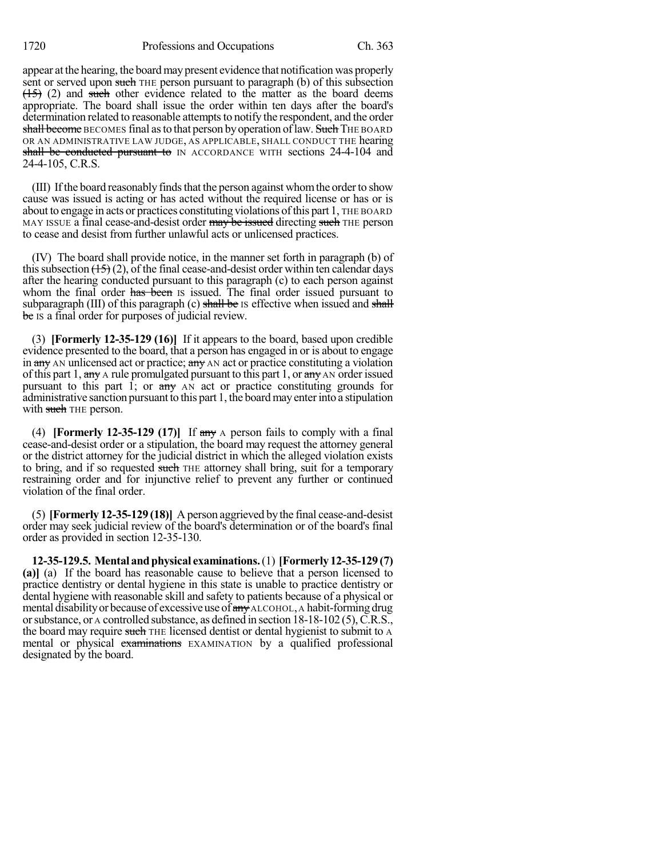appear at the hearing, the board may present evidence that notification was properly sent or served upon such THE person pursuant to paragraph (b) of this subsection  $(15)$  (2) and such other evidence related to the matter as the board deems appropriate. The board shall issue the order within ten days after the board's determination related to reasonable attempts to notify the respondent, and the order shall become BECOMES final as to that person by operation of law. Such THE BOARD OR AN ADMINISTRATIVE LAW JUDGE, AS APPLICABLE, SHALL CONDUCT THE hearing shall be conducted pursuant to IN ACCORDANCE WITH sections 24-4-104 and 24-4-105, C.R.S.

(III) If the board reasonably finds that the person against whom the order to show cause was issued is acting or has acted without the required license or has or is about to engage in acts or practices constituting violations ofthis part 1, THE BOARD MAY ISSUE a final cease-and-desist order may be issued directing such THE person to cease and desist from further unlawful acts or unlicensed practices.

(IV) The board shall provide notice, in the manner set forth in paragraph (b) of this subsection  $(15)(2)$ , of the final cease-and-desist order within ten calendar days after the hearing conducted pursuant to this paragraph (c) to each person against whom the final order has been is issued. The final order issued pursuant to subparagraph  $(III)$  of this paragraph  $(c)$  shall be Is effective when issued and shall be IS a final order for purposes of judicial review.

(3) **[Formerly 12-35-129 (16)]** If it appears to the board, based upon credible evidence presented to the board, that a person has engaged in or is about to engage in any AN unlicensed act or practice; any AN act or practice constituting a violation of this part 1,  $\frac{any}{ay}$  A rule promulgated pursuant to this part 1, or  $\frac{any}{ay}$  AN order issued pursuant to this part 1; or  $\frac{a_n}{b_n}$  AN act or practice constituting grounds for administrative sanction pursuant to this part 1, the board may enter into a stipulation with such THE person.

(4) **[Formerly 12-35-129 (17)]** If any A person fails to comply with a final cease-and-desist order or a stipulation, the board may request the attorney general or the district attorney for the judicial district in which the alleged violation exists to bring, and if so requested such THE attorney shall bring, suit for a temporary restraining order and for injunctive relief to prevent any further or continued violation of the final order.

(5) **[Formerly 12-35-129 (18)]** A person aggrieved by the final cease-and-desist order may seek judicial review of the board's determination or of the board's final order as provided in section 12-35-130.

**12-35-129.5. Mental andphysical examinations.**(1) **[Formerly 12-35-129 (7) (a)]** (a) If the board has reasonable cause to believe that a person licensed to practice dentistry or dental hygiene in this state is unable to practice dentistry or dental hygiene with reasonable skill and safety to patients because of a physical or mental disability or because of excessive use of  $\frac{day}{y}$  ALCOHOL, A habit-forming drug orsubstance, or A controlled substance, as defined in section 18-18-102 (5),C.R.S., the board may require such THE licensed dentist or dental hygienist to submit to A mental or physical examinations EXAMINATION by a qualified professional designated by the board.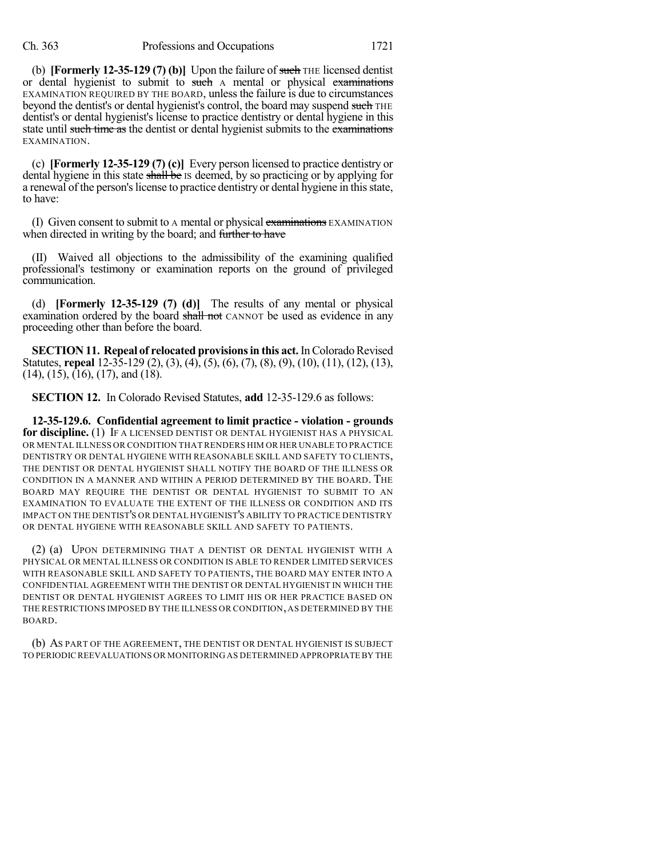(b) **[Formerly 12-35-129 (7) (b)]** Upon the failure of such THE licensed dentist or dental hygienist to submit to such A mental or physical examinations EXAMINATION REQUIRED BY THE BOARD, unless the failure is due to circumstances beyond the dentist's or dental hygienist's control, the board may suspend such THE dentist's or dental hygienist's license to practice dentistry or dental hygiene in this state until such time as the dentist or dental hygienist submits to the examinations EXAMINATION.

(c) **[Formerly 12-35-129 (7) (c)]** Every person licensed to practice dentistry or dental hygiene in this state shall be Is deemed, by so practicing or by applying for a renewal of the person's license to practice dentistry or dental hygiene in this state, to have:

(I) Given consent to submit to a mental or physical examinations EXAMINATION when directed in writing by the board; and further to have

(II) Waived all objections to the admissibility of the examining qualified professional's testimony or examination reports on the ground of privileged communication.

(d) **[Formerly 12-35-129 (7) (d)]** The results of any mental or physical examination ordered by the board shall not CANNOT be used as evidence in any proceeding other than before the board.

**SECTION 11. Repeal of relocated provisions in this act.** In Colorado Revised Statutes, **repeal** 12-35-129 (2), (3), (4), (5), (6), (7), (8), (9), (10), (11), (12), (13), (14), (15), (16), (17), and (18).

**SECTION 12.** In Colorado Revised Statutes, **add** 12-35-129.6 as follows:

**12-35-129.6. Confidential agreement to limit practice - violation - grounds for discipline.** (1) IF A LICENSED DENTIST OR DENTAL HYGIENIST HAS A PHYSICAL OR MENTAL ILLNESS OR CONDITION THAT RENDERS HIM OR HER UNABLE TO PRACTICE DENTISTRY OR DENTAL HYGIENE WITH REASONABLE SKILL AND SAFETY TO CLIENTS, THE DENTIST OR DENTAL HYGIENIST SHALL NOTIFY THE BOARD OF THE ILLNESS OR CONDITION IN A MANNER AND WITHIN A PERIOD DETERMINED BY THE BOARD. THE BOARD MAY REQUIRE THE DENTIST OR DENTAL HYGIENIST TO SUBMIT TO AN EXAMINATION TO EVALUATE THE EXTENT OF THE ILLNESS OR CONDITION AND ITS IMPACT ON THE DENTIST'S OR DENTAL HYGIENIST'S ABILITY TO PRACTICE DENTISTRY OR DENTAL HYGIENE WITH REASONABLE SKILL AND SAFETY TO PATIENTS.

(2) (a) UPON DETERMINING THAT A DENTIST OR DENTAL HYGIENIST WITH A PHYSICAL OR MENTAL ILLNESS OR CONDITION IS ABLE TO RENDER LIMITED SERVICES WITH REASONABLE SKILL AND SAFETY TO PATIENTS, THE BOARD MAY ENTER INTO A CONFIDENTIAL AGREEMENT WITH THE DENTIST OR DENTAL HYGIENIST IN WHICH THE DENTIST OR DENTAL HYGIENIST AGREES TO LIMIT HIS OR HER PRACTICE BASED ON THE RESTRICTIONS IMPOSED BY THE ILLNESS OR CONDITION, AS DETERMINED BY THE BOARD.

(b) AS PART OF THE AGREEMENT, THE DENTIST OR DENTAL HYGIENIST IS SUBJECT TO PERIODIC REEVALUATIONS OR MONITORING AS DETERMINED APPROPRIATE BY THE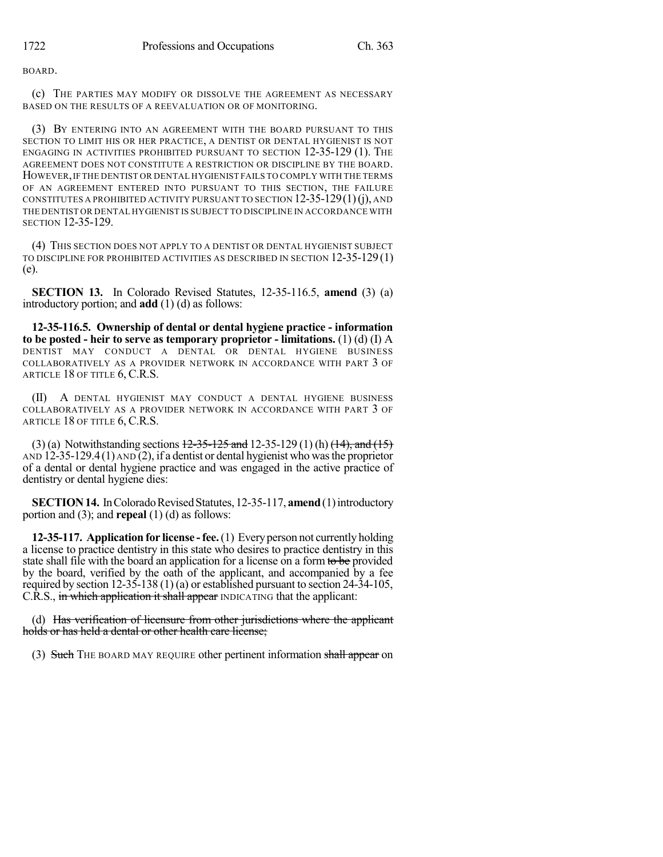BOARD.

(c) THE PARTIES MAY MODIFY OR DISSOLVE THE AGREEMENT AS NECESSARY BASED ON THE RESULTS OF A REEVALUATION OR OF MONITORING.

(3) BY ENTERING INTO AN AGREEMENT WITH THE BOARD PURSUANT TO THIS SECTION TO LIMIT HIS OR HER PRACTICE, A DENTIST OR DENTAL HYGIENIST IS NOT ENGAGING IN ACTIVITIES PROHIBITED PURSUANT TO SECTION 12-35-129 (1). THE AGREEMENT DOES NOT CONSTITUTE A RESTRICTION OR DISCIPLINE BY THE BOARD. HOWEVER,IF THE DENTIST OR DENTAL HYGIENIST FAILS TO COMPLY WITH THE TERMS OF AN AGREEMENT ENTERED INTO PURSUANT TO THIS SECTION, THE FAILURE CONSTITUTES A PROHIBITED ACTIVITY PURSUANT TO SECTION  $12-35-129(1)(i)$ , and THE DENTIST OR DENTAL HYGIENIST IS SUBJECT TO DISCIPLINE IN ACCORDANCE WITH SECTION 12-35-129.

(4) THIS SECTION DOES NOT APPLY TO A DENTIST OR DENTAL HYGIENIST SUBJECT TO DISCIPLINE FOR PROHIBITED ACTIVITIES AS DESCRIBED IN SECTION 12-35-129 (1) (e).

**SECTION 13.** In Colorado Revised Statutes, 12-35-116.5, **amend** (3) (a) introductory portion; and **add** (1) (d) as follows:

**12-35-116.5. Ownership of dental or dental hygiene practice - information to be posted - heir to serve as temporary proprietor - limitations.** (1) (d) (I) A DENTIST MAY CONDUCT A DENTAL OR DENTAL HYGIENE BUSINESS COLLABORATIVELY AS A PROVIDER NETWORK IN ACCORDANCE WITH PART 3 OF ARTICLE 18 OF TITLE 6, C.R.S.

(II) A DENTAL HYGIENIST MAY CONDUCT A DENTAL HYGIENE BUSINESS COLLABORATIVELY AS A PROVIDER NETWORK IN ACCORDANCE WITH PART 3 OF ARTICLE 18 OF TITLE 6, C.R.S.

(3) (a) Notwithstanding sections  $12-35-125$  and  $12-35-129$  (1) (h)  $(14)$ , and  $(15)$ AND 12-35-129.4(1) AND (2), if a dentist or dental hygienist who wasthe proprietor of a dental or dental hygiene practice and was engaged in the active practice of dentistry or dental hygiene dies:

**SECTION 14.** In Colorado Revised Statutes, 12-35-117, **amend** (1) introductory portion and (3); and **repeal** (1) (d) as follows:

**12-35-117. Application for license -fee.**(1) Everyperson not currently holding a license to practice dentistry in this state who desires to practice dentistry in this state shall file with the board an application for a license on a form to be provided by the board, verified by the oath of the applicant, and accompanied by a fee required by section 12-35-138 (1) (a) or established pursuant to section 24-34-105, C.R.S., in which application it shall appear INDICATING that the applicant:

(d) Has verification of licensure from other jurisdictions where the applicant holds or has held a dental or other health care license;

(3) Such THE BOARD MAY REQUIRE other pertinent information shall appear on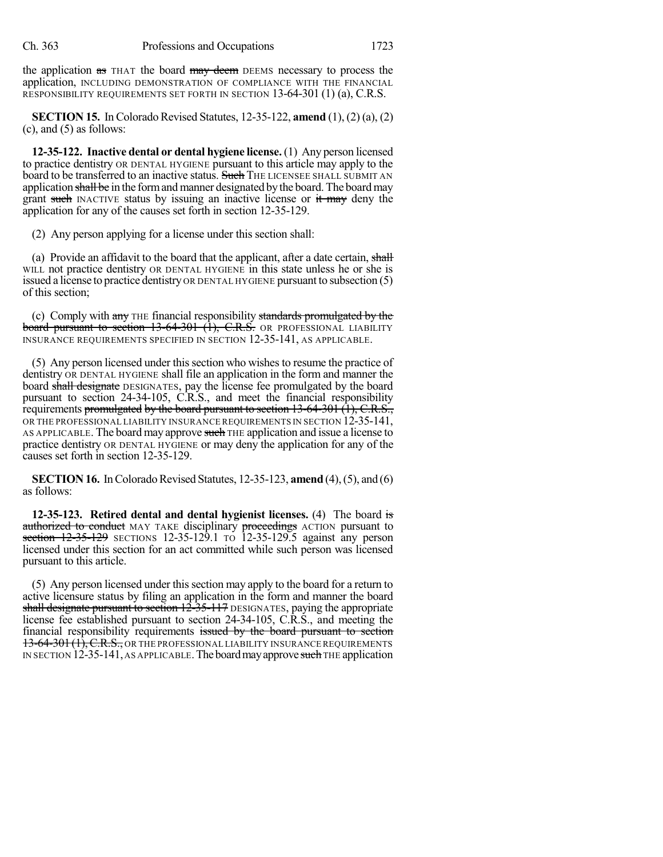the application as THAT the board may deem DEEMS necessary to process the application, INCLUDING DEMONSTRATION OF COMPLIANCE WITH THE FINANCIAL RESPONSIBILITY REQUIREMENTS SET FORTH IN SECTION 13-64-301 (1) (a), C.R.S.

**SECTION 15.** In Colorado Revised Statutes, 12-35-122, **amend** (1), (2) (a), (2)  $(c)$ , and  $(5)$  as follows:

**12-35-122. Inactive dental or dental hygiene license.** (1) Any person licensed to practice dentistry OR DENTAL HYGIENE pursuant to this article may apply to the board to be transferred to an inactive status. Such THE LICENSEE SHALL SUBMIT AN application shall be in the form and manner designated by the board. The board may grant such INACTIVE status by issuing an inactive license or it may deny the application for any of the causes set forth in section 12-35-129.

(2) Any person applying for a license under this section shall:

(a) Provide an affidavit to the board that the applicant, after a date certain, shall WILL not practice dentistry OR DENTAL HYGIENE in this state unless he or she is issued a license to practice dentistry OR DENTAL HYGIENE pursuant to subsection (5) of this section;

(c) Comply with any THE financial responsibility standards promulgated by the board pursuant to section 13-64-301 (1), C.R.S. OR PROFESSIONAL LIABILITY INSURANCE REQUIREMENTS SPECIFIED IN SECTION 12-35-141, AS APPLICABLE.

(5) Any person licensed under thissection who wishes to resume the practice of dentistry OR DENTAL HYGIENE shall file an application in the form and manner the board shall designate DESIGNATES, pay the license fee promulgated by the board pursuant to section 24-34-105, C.R.S., and meet the financial responsibility requirements promulgated by the board pursuant to section  $13-64-301$   $(1)$ , C.R.S., OR THE PROFESSIONAL LIABILITY INSURANCE REQUIREMENTS IN SECTION 12-35-141, AS APPLICABLE. The board may approve such THE application and issue a license to practice dentistry OR DENTAL HYGIENE or may deny the application for any of the causes set forth in section 12-35-129.

**SECTION 16.** In Colorado Revised Statutes, 12-35-123, **amend** (4), (5), and (6) as follows:

**12-35-123. Retired dental and dental hygienist licenses.** (4) The board is authorized to conduct MAY TAKE disciplinary proceedings ACTION pursuant to section  $12-35-129$  SECTIONS 12-35-129.1 TO 12-35-129.5 against any person licensed under this section for an act committed while such person was licensed pursuant to this article.

(5) Any person licensed under thissection may apply to the board for a return to active licensure status by filing an application in the form and manner the board shall designate pursuant to section 12-35-117 DESIGNATES, paying the appropriate license fee established pursuant to section 24-34-105, C.R.S., and meeting the financial responsibility requirements issued by the board pursuant to section 13-64-301 (1), C.R.S., OR THE PROFESSIONAL LIABILITY INSURANCE REQUIREMENTS IN SECTION 12-35-141, AS APPLICABLE. The board may approve such THE application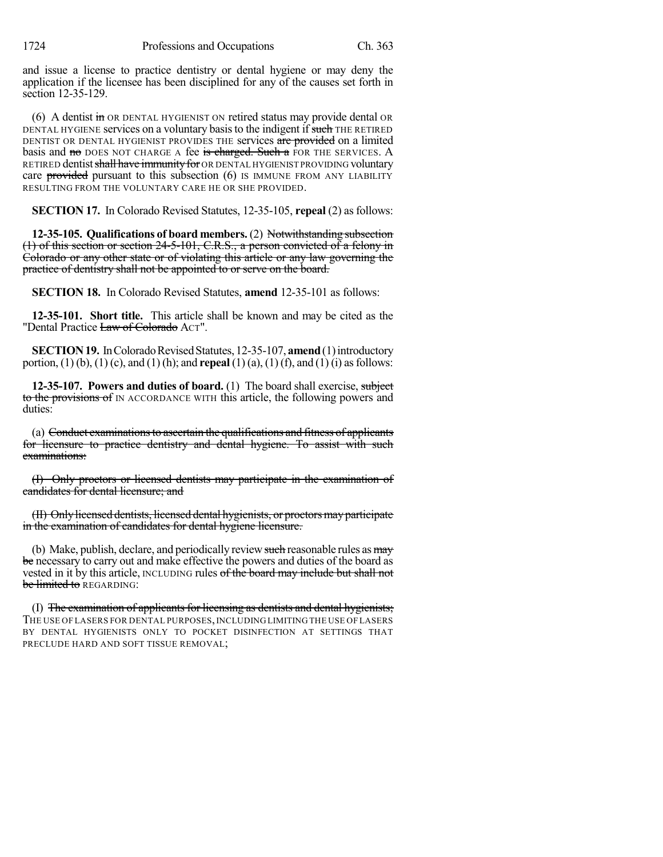and issue a license to practice dentistry or dental hygiene or may deny the application if the licensee has been disciplined for any of the causes set forth in section 12-35-129.

(6) A dentist  $\overline{m}$  OR DENTAL HYGIENIST ON retired status may provide dental OR DENTAL HYGIENE services on a voluntary basis to the indigent if such THE RETIRED DENTIST OR DENTAL HYGIENIST PROVIDES THE services are provided on a limited basis and no DOES NOT CHARGE A fee is charged. Such a FOR THE SERVICES. A RETIRED dentist shall have immunity for OR DENTAL HYGIENIST PROVIDING voluntary care provided pursuant to this subsection (6) IS IMMUNE FROM ANY LIABILITY RESULTING FROM THE VOLUNTARY CARE HE OR SHE PROVIDED.

**SECTION 17.** In Colorado Revised Statutes, 12-35-105, **repeal** (2) as follows:

**12-35-105. Qualifications of board members.** (2) Notwithstanding subsection (1) of this section or section 24-5-101, C.R.S., a person convicted of a felony in Colorado or any other state or of violating this article or any law governing the practice of dentistry shall not be appointed to or serve on the board.

**SECTION 18.** In Colorado Revised Statutes, **amend** 12-35-101 as follows:

**12-35-101. Short title.** This article shall be known and may be cited as the "Dental Practice Law of Colorado ACT".

**SECTION 19.** In Colorado Revised Statutes, 12-35-107, **amend** (1) introductory portion, (1) (b), (1) (c), and (1) (h); and **repeal** (1) (a), (1) (f), and (1) (i) asfollows:

**12-35-107. Powers and duties of board.** (1) The board shall exercise, subject to the provisions of IN ACCORDANCE WITH this article, the following powers and duties:

(a) Conduct examinations to ascertain the qualifications and fitness of applicants for licensure to practice dentistry and dental hygiene. To assist with such examinations:

(I) Only proctors or licensed dentists may participate in the examination of candidates for dental licensure; and

(II) Onlylicensed dentists, licensed dental hygienists, or proctorsmayparticipate in the examination of candidates for dental hygiene licensure.

(b) Make, publish, declare, and periodically review such reasonable rules as  $\frac{m}{y}$ be necessary to carry out and make effective the powers and duties of the board as vested in it by this article, INCLUDING rules of the board may include but shall not be limited to REGARDING:

(I) The examination of applicants for licensing as dentists and dental hygienists; THE USE OF LASERS FOR DENTAL PURPOSES, INCLUDING LIMITING THE USE OF LASERS BY DENTAL HYGIENISTS ONLY TO POCKET DISINFECTION AT SETTINGS THAT PRECLUDE HARD AND SOFT TISSUE REMOVAL;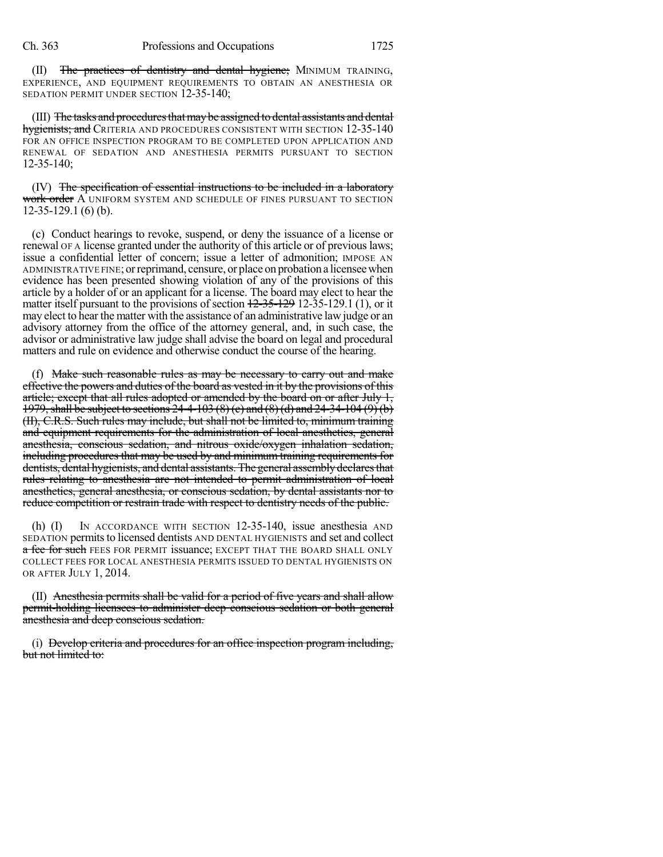(II) The practices of dentistry and dental hygiene; MINIMUM TRAINING, EXPERIENCE, AND EQUIPMENT REQUIREMENTS TO OBTAIN AN ANESTHESIA OR SEDATION PERMIT UNDER SECTION 12-35-140;

(III) The tasks and procedures that may be assigned to dental assistants and dental hygienists; and Criteria and procedures consistent with section 12-35-140 FOR AN OFFICE INSPECTION PROGRAM TO BE COMPLETED UPON APPLICATION AND RENEWAL OF SEDATION AND ANESTHESIA PERMITS PURSUANT TO SECTION 12-35-140;

(IV) The specification of essential instructions to be included in a laboratory <del>work order</del> A uniform system and schedule of fines pursuant to section 12-35-129.1 (6) (b).

(c) Conduct hearings to revoke, suspend, or deny the issuance of a license or renewal OF A license granted under the authority of this article or of previous laws; issue a confidential letter of concern; issue a letter of admonition; IMPOSE AN ADMINISTRATIVE FINE; or reprimand, censure, or place on probation a licensee when evidence has been presented showing violation of any of the provisions of this article by a holder of or an applicant for a license. The board may elect to hear the matter itself pursuant to the provisions of section  $12-35-129$  12-35-129.1 (1), or it may elect to hear the matter with the assistance of an administrative lawjudge or an advisory attorney from the office of the attorney general, and, in such case, the advisor or administrative law judge shall advise the board on legal and procedural matters and rule on evidence and otherwise conduct the course of the hearing.

(f) Make such reasonable rules as may be necessary to carry out and make effective the powers and duties of the board as vested in it by the provisions of this article; except that all rules adopted or amended by the board on or after July 1, 1979,shall be subject to sections 24-4-103 (8) (c) and (8) (d) and 24-34-104 (9) (b) (II), C.R.S. Such rules may include, but shall not be limited to, minimum training and equipment requirements for the administration of local anesthetics, general anesthesia, conscious sedation, and nitrous oxide/oxygen inhalation sedation, including procedures that may be used by and minimum training requirements for dentists, dental hygienists, and dental assistants. The general assembly declares that rules relating to anesthesia are not intended to permit administration of local anesthetics, general anesthesia, or conscious sedation, by dental assistants nor to reduce competition or restrain trade with respect to dentistry needs of the public.

(h) (I) IN ACCORDANCE WITH SECTION 12-35-140, issue anesthesia AND SEDATION permitsto licensed dentists AND DENTAL HYGIENISTS and set and collect a fee for such FEES FOR PERMIT issuance; EXCEPT THAT THE BOARD SHALL ONLY COLLECT FEES FOR LOCAL ANESTHESIA PERMITS ISSUED TO DENTAL HYGIENISTS ON OR AFTER JULY 1, 2014.

(II) Anesthesia permits shall be valid for a period of five years and shall allow permit-holding licensees to administer deep conscious sedation or both general anesthesia and deep conscious sedation.

(i) Develop criteria and procedures for an office inspection program including, but not limited to: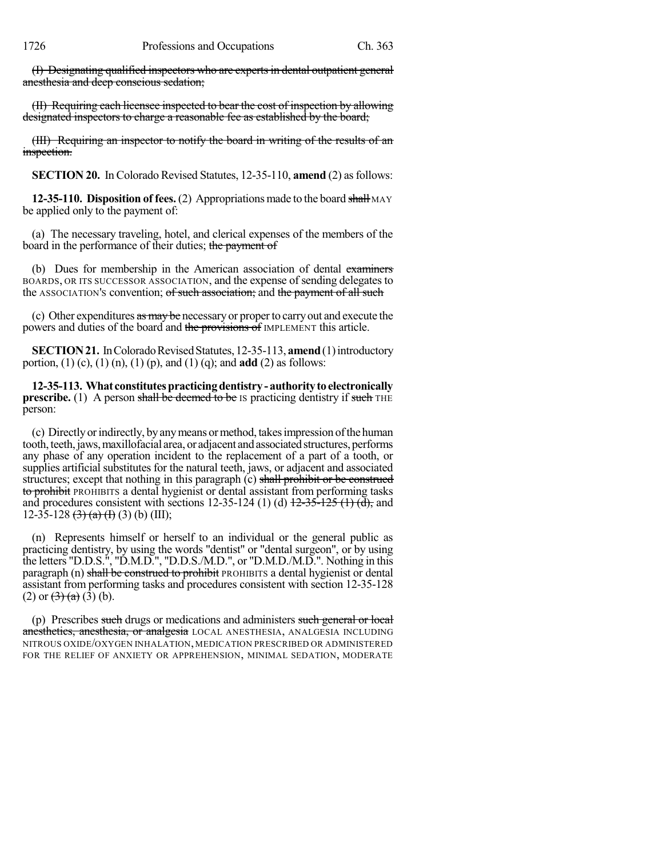(I) Designating qualified inspectors who are experts in dental outpatient general anesthesia and deep conscious sedation;

(II) Requiring each licensee inspected to bear the cost of inspection by allowing designated inspectors to charge a reasonable fee as established by the board;

(III) Requiring an inspector to notify the board in writing of the results of an inspection.

**SECTION 20.** In Colorado Revised Statutes, 12-35-110, **amend** (2) as follows:

**12-35-110. Disposition of fees.** (2) Appropriations made to the board shall MAY be applied only to the payment of:

(a) The necessary traveling, hotel, and clerical expenses of the members of the board in the performance of their duties; the payment of

(b) Dues for membership in the American association of dental examiners BOARDS, OR ITS SUCCESSOR ASSOCIATION, and the expense of sending delegates to the ASSOCIATION's convention; of such association; and the payment of all such

(c) Other expenditures as may be necessary or proper to carry out and execute the powers and duties of the board and the provisions of IMPLEMENT this article.

**SECTION 21.** In Colorado Revised Statutes, 12-35-113, **amend** (1) introductory portion, (1) (c), (1) (n), (1) (p), and (1) (q); and **add** (2) as follows:

**12-35-113. What constitutespracticingdentistry- authoritytoelectronically prescribe.** (1) A person shall be deemed to be IS practicing dentistry if such THE person:

(c) Directlyorindirectly, byanymeans ormethod, takesimpression ofthe human tooth, teeth, jaws, maxillofacial area, or adjacent and associated structures, performs any phase of any operation incident to the replacement of a part of a tooth, or supplies artificial substitutes for the natural teeth, jaws, or adjacent and associated structures; except that nothing in this paragraph (c) shall prohibit or be construed to prohibit PROHIBITS a dental hygienist or dental assistant from performing tasks and procedures consistent with sections 12-35-124 (1) (d)  $12-35-125$  (1) (d), and 12-35-128  $(3)$   $(a)$   $(h)$   $(3)$   $(b)$   $(III)$ ;

(n) Represents himself or herself to an individual or the general public as practicing dentistry, by using the words "dentist" or "dental surgeon", or by using the letters "D.D.S.", "D.M.D.", "D.D.S./M.D.", or "D.M.D./M.D.". Nothing in this paragraph (n) shall be construed to prohibit PROHIBITS a dental hygienist or dental assistant from performing tasks and procedures consistent with section 12-35-128 (2) or  $\left(\frac{3}{2}\right)$  (a) (3) (b).

(p) Prescribes such drugs or medications and administers such general or local anesthetics, anesthesia, or analgesia LOCAL ANESTHESIA, ANALGESIA INCLUDING NITROUS OXIDE/OXYGEN INHALATION, MEDICATION PRESCRIBED OR ADMINISTERED FOR THE RELIEF OF ANXIETY OR APPREHENSION, MINIMAL SEDATION, MODERATE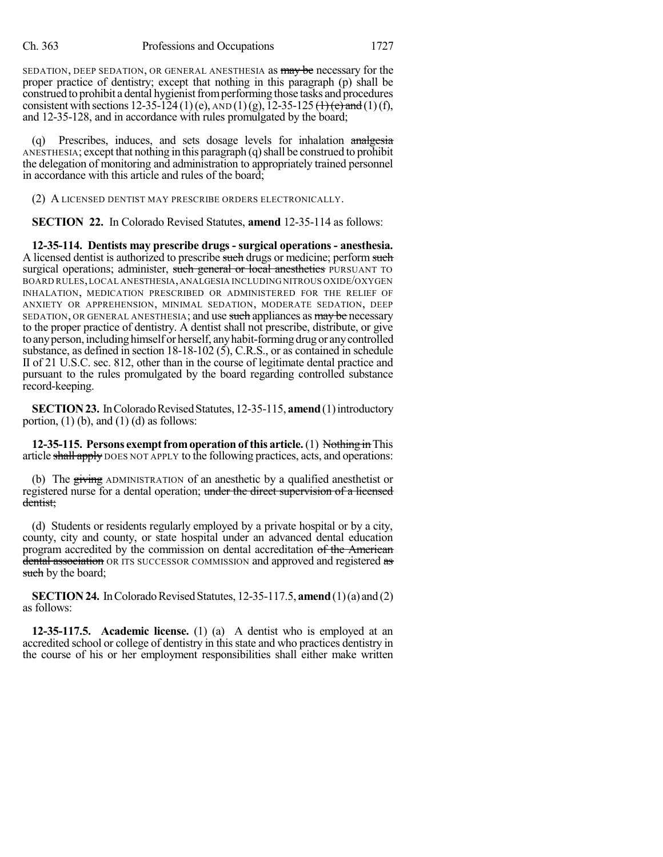SEDATION, DEEP SEDATION, OR GENERAL ANESTHESIA as may be necessary for the proper practice of dentistry; except that nothing in this paragraph (p) shall be construed to prohibit a dental hygienist from performing those tasks and procedures consistent with sections 12-35-124 (1)(e),  $\text{AND}(1)(g)$ , 12-35-125 (1)(e) and (1)(f), and 12-35-128, and in accordance with rules promulgated by the board;

(q) Prescribes, induces, and sets dosage levels for inhalation analgesia ANESTHESIA; except that nothing in this paragraph  $(q)$  shall be construed to prohibit the delegation of monitoring and administration to appropriately trained personnel in accordance with this article and rules of the board;

(2) A LICENSED DENTIST MAY PRESCRIBE ORDERS ELECTRONICALLY.

**SECTION 22.** In Colorado Revised Statutes, **amend** 12-35-114 as follows:

**12-35-114. Dentists may prescribe drugs - surgical operations - anesthesia.** A licensed dentist is authorized to prescribe such drugs or medicine; perform such surgical operations; administer, such general or local anesthetics PURSUANT TO BOARD RULES,LOCAL ANESTHESIA,ANALGESIA INCLUDING NITROUS OXIDE/OXYGEN INHALATION, MEDICATION PRESCRIBED OR ADMINISTERED FOR THE RELIEF OF ANXIETY OR APPREHENSION, MINIMAL SEDATION, MODERATE SEDATION, DEEP SEDATION, OR GENERAL ANESTHESIA; and use such appliances as may be necessary to the proper practice of dentistry. A dentist shall not prescribe, distribute, or give to any person, including himself or herself, any habit-forming drug or any controlled substance, as defined in section 18-18-102 (5), C.R.S., or as contained in schedule II of 21 U.S.C. sec. 812, other than in the course of legitimate dental practice and pursuant to the rules promulgated by the board regarding controlled substance record-keeping.

**SECTION 23.** In Colorado Revised Statutes, 12-35-115, **amend** (1) introductory portion,  $(1)$  (b), and  $(1)$  (d) as follows:

**12-35-115. Persons exempt from operation of this article.** (1) Nothing in This article shall apply DOES NOT APPLY to the following practices, acts, and operations:

(b) The giving ADMINISTRATION of an anesthetic by a qualified anesthetist or registered nurse for a dental operation; under the direct supervision of a licensed dentist;

(d) Students or residents regularly employed by a private hospital or by a city, county, city and county, or state hospital under an advanced dental education program accredited by the commission on dental accreditation of the American dental association OR ITS SUCCESSOR COMMISSION and approved and registered as such by the board;

**SECTION 24.** In Colorado Revised Statutes, 12-35-117.5, **amend** (1)(a) and (2) as follows:

**12-35-117.5. Academic license.** (1) (a) A dentist who is employed at an accredited school or college of dentistry in this state and who practices dentistry in the course of his or her employment responsibilities shall either make written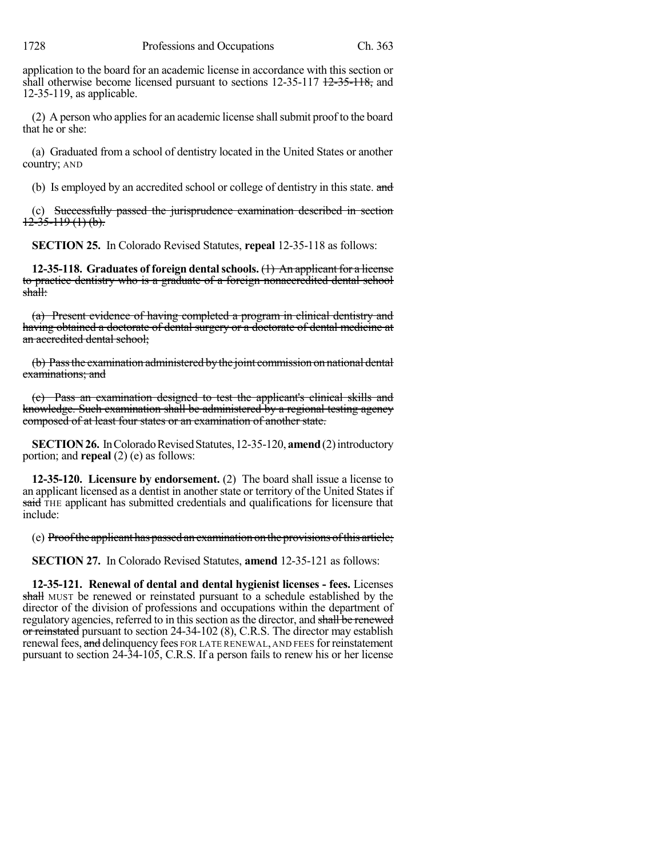application to the board for an academic license in accordance with this section or shall otherwise become licensed pursuant to sections  $12-35-117$   $12-35-118$ , and 12-35-119, as applicable.

 $(2)$  A person who applies for an academic license shall submit proof to the board that he or she:

(a) Graduated from a school of dentistry located in the United States or another country; AND

(b) Is employed by an accredited school or college of dentistry in this state. and

(c) Successfully passed the jurisprudence examination described in section  $12-35-119(1)$  (b).

**SECTION 25.** In Colorado Revised Statutes, **repeal** 12-35-118 as follows:

**12-35-118. Graduates of foreign dentalschools.** (1) An applicant for a license to practice dentistry who is a graduate of a foreign nonaccredited dental school shall:

(a) Present evidence of having completed a program in clinical dentistry and having obtained a doctorate of dental surgery or a doctorate of dental medicine at an accredited dental school;

(b) Passthe examination administered bythe joint commission on national dental examinations; and

(c) Pass an examination designed to test the applicant's clinical skills and knowledge. Such examination shall be administered by a regional testing agency composed of at least four states or an examination of another state.

**SECTION 26.** In Colorado Revised Statutes, 12-35-120, **amend** (2) introductory portion; and **repeal** (2) (e) as follows:

**12-35-120. Licensure by endorsement.** (2) The board shall issue a license to an applicant licensed as a dentist in another state or territory of the United Statesif said THE applicant has submitted credentials and qualifications for licensure that include:

(e) Proofthe applicant has passed an examination on the provisions ofthis article;

**SECTION 27.** In Colorado Revised Statutes, **amend** 12-35-121 as follows:

**12-35-121. Renewal of dental and dental hygienist licenses - fees.** Licenses shall MUST be renewed or reinstated pursuant to a schedule established by the director of the division of professions and occupations within the department of regulatory agencies, referred to in this section as the director, and shall be renewed or reinstated pursuant to section 24-34-102 (8), C.R.S. The director may establish renewal fees, and delinquency fees FOR LATE RENEWAL, AND FEES for reinstatement pursuant to section 24-34-105, C.R.S. If a person fails to renew his or her license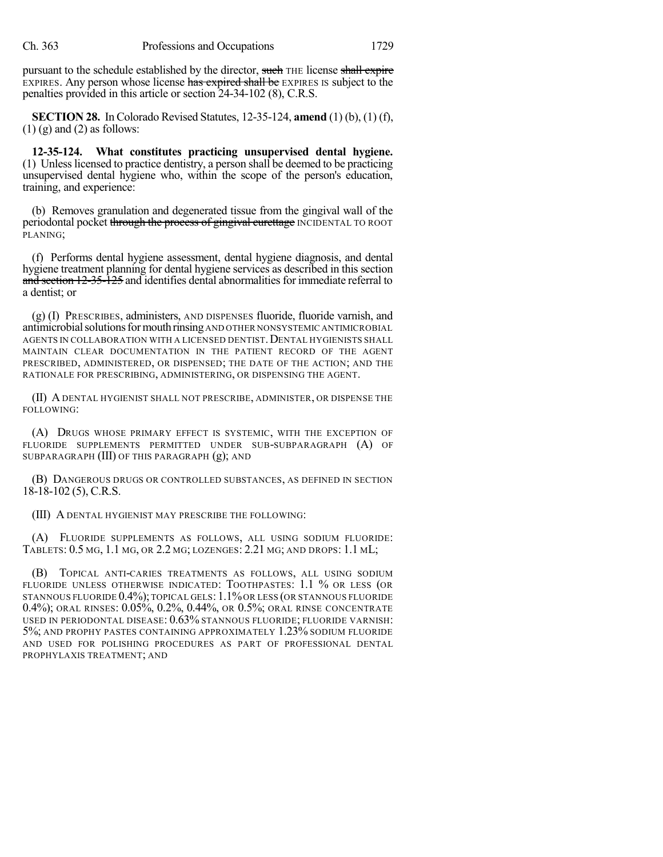pursuant to the schedule established by the director, such THE license shall expire EXPIRES. Any person whose license has expired shall be EXPIRES IS subject to the penalties provided in this article or section 24-34-102 (8), C.R.S.

**SECTION 28.** In Colorado Revised Statutes, 12-35-124, **amend** (1) (b), (1) (f),  $(1)$  (g) and  $(2)$  as follows:

**12-35-124. What constitutes practicing unsupervised dental hygiene.** (1) Unlesslicensed to practice dentistry, a person shall be deemed to be practicing unsupervised dental hygiene who, within the scope of the person's education, training, and experience:

(b) Removes granulation and degenerated tissue from the gingival wall of the periodontal pocket through the process of gingival curettage INCIDENTAL TO ROOT PLANING;

(f) Performs dental hygiene assessment, dental hygiene diagnosis, and dental hygiene treatment planning for dental hygiene services as described in this section and section 12-35-125 and identifies dental abnormalities for immediate referral to a dentist; or

(g) (I) PRESCRIBES, administers, AND DISPENSES fluoride, fluoride varnish, and antimicrobial solutions for mouth rinsing AND OTHER NONSYSTEMIC ANTIMICROBIAL AGENTS IN COLLABORATION WITH A LICENSED DENTIST. DENTAL HYGIENISTS SHALL MAINTAIN CLEAR DOCUMENTATION IN THE PATIENT RECORD OF THE AGENT PRESCRIBED, ADMINISTERED, OR DISPENSED; THE DATE OF THE ACTION; AND THE RATIONALE FOR PRESCRIBING, ADMINISTERING, OR DISPENSING THE AGENT.

(II) A DENTAL HYGIENIST SHALL NOT PRESCRIBE, ADMINISTER, OR DISPENSE THE FOLLOWING:

(A) DRUGS WHOSE PRIMARY EFFECT IS SYSTEMIC, WITH THE EXCEPTION OF FLUORIDE SUPPLEMENTS PERMITTED UNDER SUB-SUBPARAGRAPH (A) OF SUBPARAGRAPH (III) OF THIS PARAGRAPH (g); AND

(B) DANGEROUS DRUGS OR CONTROLLED SUBSTANCES, AS DEFINED IN SECTION 18-18-102 (5), C.R.S.

(III) A DENTAL HYGIENIST MAY PRESCRIBE THE FOLLOWING:

(A) FLUORIDE SUPPLEMENTS AS FOLLOWS, ALL USING SODIUM FLUORIDE: TABLETS: 0.5 MG, 1.1 MG, OR 2.2 MG; LOZENGES: 2.21 MG; AND DROPS: 1.1 ML;

(B) TOPICAL ANTI-CARIES TREATMENTS AS FOLLOWS, ALL USING SODIUM FLUORIDE UNLESS OTHERWISE INDICATED: TOOTHPASTES: 1.1 % OR LESS (OR STANNOUS FLUORIDE 0.4%); TOPICAL GELS: 1.1%OR LESS (OR STANNOUS FLUORIDE 0.4%); ORAL RINSES: 0.05%, 0.2%, 0.44%, OR 0.5%; ORAL RINSE CONCENTRATE USED IN PERIODONTAL DISEASE: 0.63% STANNOUS FLUORIDE; FLUORIDE VARNISH: 5%; AND PROPHY PASTES CONTAINING APPROXIMATELY 1.23% SODIUM FLUORIDE AND USED FOR POLISHING PROCEDURES AS PART OF PROFESSIONAL DENTAL PROPHYLAXIS TREATMENT; AND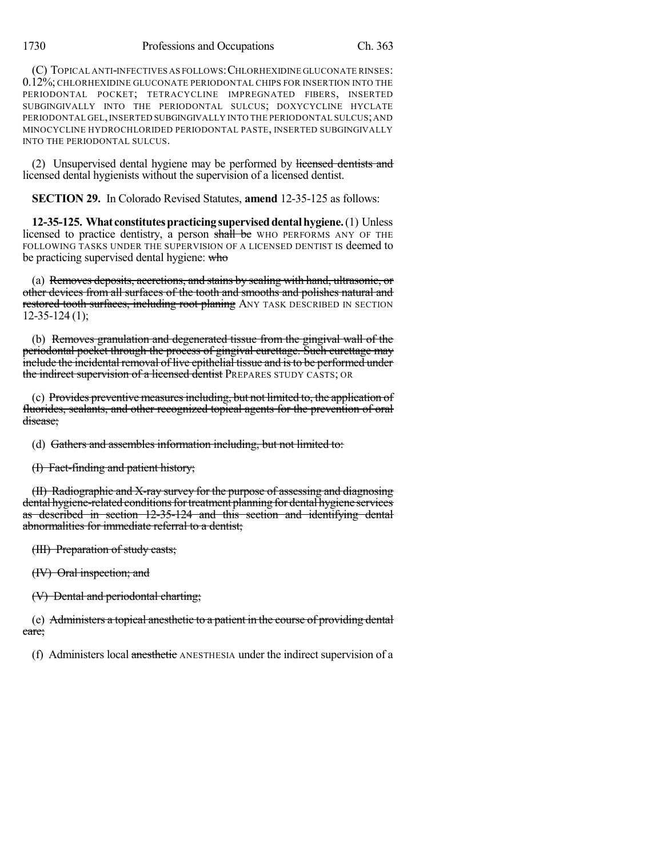(C) TOPICAL ANTI-INFECTIVES AS FOLLOWS:CHLORHEXIDINE GLUCONATE RINSES: 0.12%; CHLORHEXIDINE GLUCONATE PERIODONTAL CHIPS FOR INSERTION INTO THE PERIODONTAL POCKET; TETRACYCLINE IMPREGNATED FIBERS, INSERTED SUBGINGIVALLY INTO THE PERIODONTAL SULCUS; DOXYCYCLINE HYCLATE PERIODONTAL GEL,INSERTED SUBGINGIVALLY INTO THE PERIODONTAL SULCUS;AND MINOCYCLINE HYDROCHLORIDED PERIODONTAL PASTE, INSERTED SUBGINGIVALLY INTO THE PERIODONTAL SULCUS.

(2) Unsupervised dental hygiene may be performed by licensed dentists and licensed dental hygienists without the supervision of a licensed dentist.

**SECTION 29.** In Colorado Revised Statutes, **amend** 12-35-125 as follows:

**12-35-125. What constitutespracticingsuperviseddentalhygiene.**(1) Unless licensed to practice dentistry, a person shall be WHO PERFORMS ANY OF THE FOLLOWING TASKS UNDER THE SUPERVISION OF A LICENSED DENTIST IS deemed to be practicing supervised dental hygiene: who

(a) Removes deposits, accretions, and stains by scaling with hand, ultrasonic, or other devices from all surfaces of the tooth and smooths and polishes natural and restored tooth surfaces, including root planing ANY TASK DESCRIBED IN SECTION 12-35-124 (1);

(b) Removes granulation and degenerated tissue from the gingival wall of the periodontal pocket through the process of gingival curettage. Such curettage may include the incidental removal of live epithelial tissue and is to be performed under the indirect supervision of a licensed dentist PREPARES STUDY CASTS; OR

(c) Provides preventive measures including, but not limited to, the application of fluorides, sealants, and other recognized topical agents for the prevention of oral disease;

(d) Gathers and assembles information including, but not limited to:

(I) Fact-finding and patient history;

(II) Radiographic and X-ray survey for the purpose of assessing and diagnosing dental hygiene-related conditions for treatment planning for dental hygiene services as described in section 12-35-124 and this section and identifying dental abnormalities for immediate referral to a dentist;

(III) Preparation of study casts;

(IV) Oral inspection; and

(V) Dental and periodontal charting;

(e) Administers a topical anesthetic to a patient in the course of providing dental care;

(f) Administers local anesthetic ANESTHESIA under the indirect supervision of a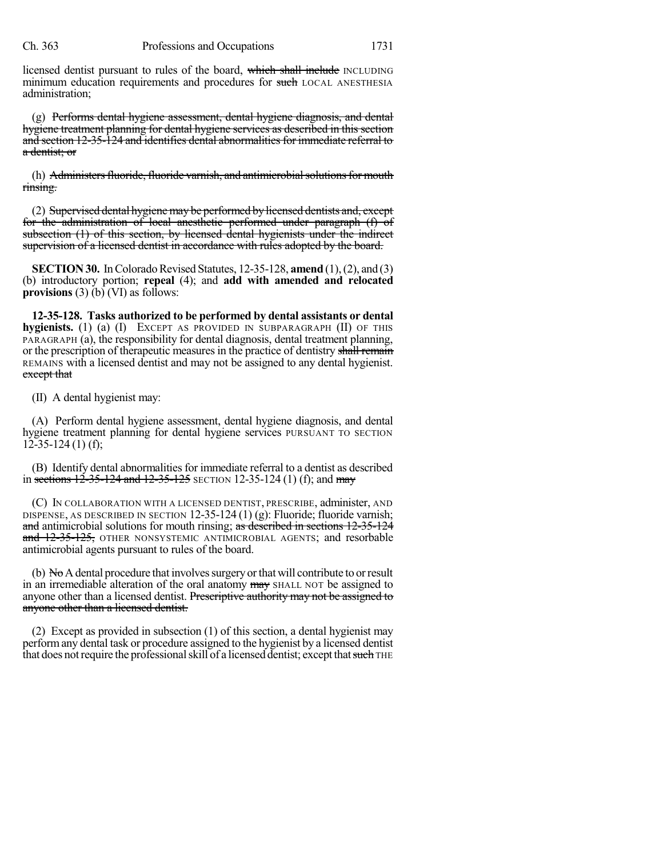licensed dentist pursuant to rules of the board, which shall include INCLUDING minimum education requirements and procedures for such LOCAL ANESTHESIA administration;

(g) Performs dental hygiene assessment, dental hygiene diagnosis, and dental hygiene treatment planning for dental hygiene services as described in this section and section 12-35-124 and identifies dental abnormalities for immediate referral to a dentist; or

(h) Administers fluoride, fluoride varnish, and antimicrobial solutions for mouth rinsing.

(2) Supervised dental hygiene may be performed by licensed dentists and, except for the administration of local anesthetic performed under paragraph (f) of subsection (1) of this section, by licensed dental hygienists under the indirect supervision of a licensed dentist in accordance with rules adopted by the board.

**SECTION 30.** In Colorado Revised Statutes, 12-35-128, **amend** (1), (2), and (3) (b) introductory portion; **repeal** (4); and **add with amended and relocated provisions** (3) (b) (VI) as follows:

**12-35-128. Tasks authorized to be performed by dental assistants or dental hygienists.** (1) (a) (I) EXCEPT AS PROVIDED IN SUBPARAGRAPH (II) OF THIS PARAGRAPH (a), the responsibility for dental diagnosis, dental treatment planning, or the prescription of therapeutic measures in the practice of dentistry shall remain REMAINS with a licensed dentist and may not be assigned to any dental hygienist. except that

(II) A dental hygienist may:

(A) Perform dental hygiene assessment, dental hygiene diagnosis, and dental hygiene treatment planning for dental hygiene services PURSUANT TO SECTION  $12-35-124(1)$  (f);

(B) Identify dental abnormalities for immediate referral to a dentist as described in sections  $12-35-124$  and  $12-35-125$  SECTION 12-35-124 (1) (f); and may

(C) IN COLLABORATION WITH A LICENSED DENTIST, PRESCRIBE, administer, AND DISPENSE, AS DESCRIBED IN SECTION  $12-35-124(1)(g)$ : Fluoride; fluoride varnish; and antimicrobial solutions for mouth rinsing; as described in sections 12-35-124 and 12-35-125, OTHER NONSYSTEMIC ANTIMICROBIAL AGENTS; and resorbable antimicrobial agents pursuant to rules of the board.

(b)  $N_{\Theta}A$  dental procedure that involves surgery or that will contribute to or result in an irremediable alteration of the oral anatomy may SHALL NOT be assigned to anyone other than a licensed dentist. Prescriptive authority may not be assigned to anyone other than a licensed dentist.

(2) Except as provided in subsection (1) of this section, a dental hygienist may performany dental task or procedure assigned to the hygienist by a licensed dentist that does not require the professional skill of a licensed dentist; except that such THE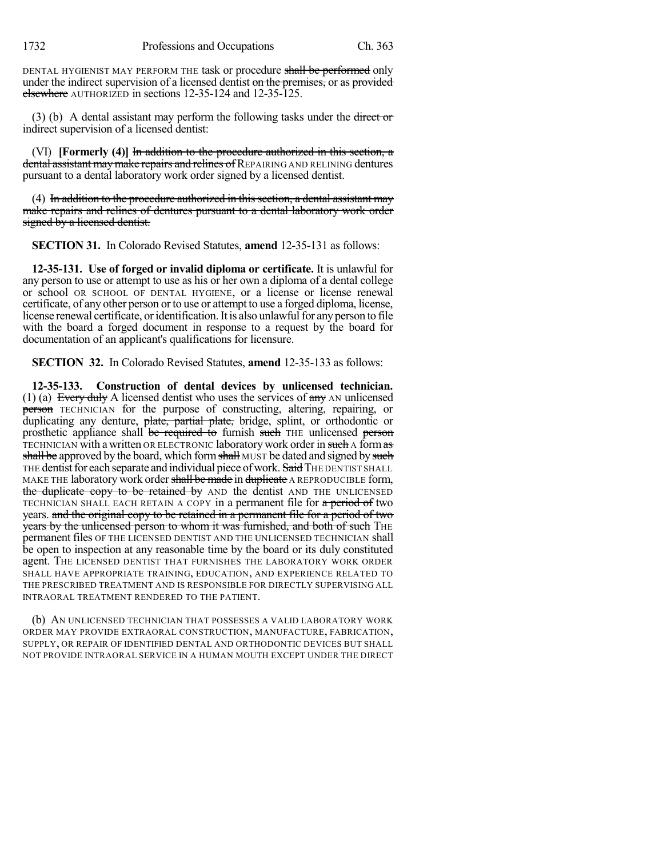1732 Professions and Occupations Ch. 363

DENTAL HYGIENIST MAY PERFORM THE task or procedure shall be performed only under the indirect supervision of a licensed dentist on the premises, or as provided elsewhere AUTHORIZED in sections 12-35-124 and 12-35-125.

 $(3)$  (b) A dental assistant may perform the following tasks under the direct or indirect supervision of a licensed dentist:

(VI) **[Formerly (4)]** In addition to the procedure authorized in this section, a dental assistant may make repairs and relines of REPAIRING AND RELINING dentures pursuant to a dental laboratory work order signed by a licensed dentist.

 $(4)$  In addition to the procedure authorized in this section, a dental assistant may make repairs and relines of dentures pursuant to a dental laboratory work order signed by a licensed dentist.

**SECTION 31.** In Colorado Revised Statutes, **amend** 12-35-131 as follows:

**12-35-131. Use of forged or invalid diploma or certificate.** It is unlawful for any person to use or attempt to use as his or her own a diploma of a dental college or school OR SCHOOL OF DENTAL HYGIENE, or a license or license renewal certificate, of any other person or to use or attempt to use a forged diploma, license, license renewal certificate, or identification. It is also unlawful for any person to file with the board a forged document in response to a request by the board for documentation of an applicant's qualifications for licensure.

**SECTION 32.** In Colorado Revised Statutes, **amend** 12-35-133 as follows:

**12-35-133. Construction of dental devices by unlicensed technician.** (1) (a) Every duly A licensed dentist who uses the services of  $\frac{day}{x}$  AN unlicensed person TECHNICIAN for the purpose of constructing, altering, repairing, or duplicating any denture, plate, partial plate, bridge, splint, or orthodontic or prosthetic appliance shall be required to furnish such THE unlicensed person TECHNICIAN with a written OR ELECTRONIC laboratory work order in such A form as shall be approved by the board, which form shall MUST be dated and signed by such THE dentist for each separate and individual piece of work. Said THE DENTIST SHALL MAKE THE laboratory work order shall be made in duplicate A REPRODUCIBLE form, the duplicate copy to be retained by AND the dentist AND THE UNLICENSED TECHNICIAN SHALL EACH RETAIN A COPY in a permanent file for a period of two years. and the original copy to be retained in a permanent file for a period of two years by the unlicensed person to whom it was furnished, and both of such THE permanent files OF THE LICENSED DENTIST AND THE UNLICENSED TECHNICIAN shall be open to inspection at any reasonable time by the board or its duly constituted agent. THE LICENSED DENTIST THAT FURNISHES THE LABORATORY WORK ORDER SHALL HAVE APPROPRIATE TRAINING, EDUCATION, AND EXPERIENCE RELATED TO THE PRESCRIBED TREATMENT AND IS RESPONSIBLE FOR DIRECTLY SUPERVISING ALL INTRAORAL TREATMENT RENDERED TO THE PATIENT.

(b) AN UNLICENSED TECHNICIAN THAT POSSESSES A VALID LABORATORY WORK ORDER MAY PROVIDE EXTRAORAL CONSTRUCTION, MANUFACTURE, FABRICATION, SUPPLY, OR REPAIR OF IDENTIFIED DENTAL AND ORTHODONTIC DEVICES BUT SHALL NOT PROVIDE INTRAORAL SERVICE IN A HUMAN MOUTH EXCEPT UNDER THE DIRECT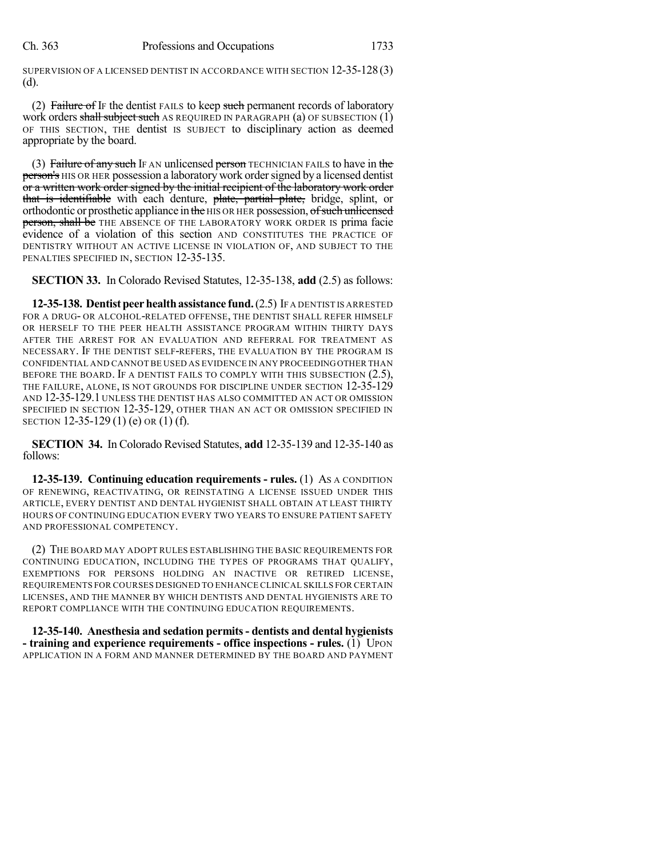SUPERVISION OF A LICENSED DENTIST IN ACCORDANCE WITH SECTION 12-35-128(3) (d).

(2) Failure of IF the dentist FAILS to keep such permanent records of laboratory work orders shall subject such AS REQUIRED IN PARAGRAPH (a) OF SUBSECTION  $(1)$ OF THIS SECTION, THE dentist IS SUBJECT to disciplinary action as deemed appropriate by the board.

(3) Failure of any such IF AN unlicensed person TECHNICIAN FAILS to have in the **person's** HIS OR HER possession a laboratory work order signed by a licensed dentist or a written work order signed by the initial recipient of the laboratory work order that is identifiable with each denture, plate, partial plate, bridge, splint, or orthodontic or prosthetic appliance in the HIS OR HER possession, of such unlicensed person, shall be THE ABSENCE OF THE LABORATORY WORK ORDER IS prima facie evidence of a violation of this section AND CONSTITUTES THE PRACTICE OF DENTISTRY WITHOUT AN ACTIVE LICENSE IN VIOLATION OF, AND SUBJECT TO THE PENALTIES SPECIFIED IN, SECTION 12-35-135.

**SECTION 33.** In Colorado Revised Statutes, 12-35-138, **add** (2.5) as follows:

**12-35-138. Dentist peer health assistance fund.** (2.5) IF A DENTIST IS ARRESTED FOR A DRUG- OR ALCOHOL-RELATED OFFENSE, THE DENTIST SHALL REFER HIMSELF OR HERSELF TO THE PEER HEALTH ASSISTANCE PROGRAM WITHIN THIRTY DAYS AFTER THE ARREST FOR AN EVALUATION AND REFERRAL FOR TREATMENT AS NECESSARY. IF THE DENTIST SELF-REFERS, THE EVALUATION BY THE PROGRAM IS CONFIDENTIAL AND CANNOT BE USED AS EVIDENCE IN ANY PROCEEDINGOTHER THAN BEFORE THE BOARD. IF A DENTIST FAILS TO COMPLY WITH THIS SUBSECTION (2.5), THE FAILURE, ALONE, IS NOT GROUNDS FOR DISCIPLINE UNDER SECTION 12-35-129 AND 12-35-129.1 UNLESS THE DENTIST HAS ALSO COMMITTED AN ACT OR OMISSION SPECIFIED IN SECTION 12-35-129, OTHER THAN AN ACT OR OMISSION SPECIFIED IN SECTION 12-35-129 (1) (e) OR (1) (f).

**SECTION 34.** In Colorado Revised Statutes, **add** 12-35-139 and 12-35-140 as follows:

**12-35-139. Continuing education requirements - rules.** (1) AS A CONDITION OF RENEWING, REACTIVATING, OR REINSTATING A LICENSE ISSUED UNDER THIS ARTICLE, EVERY DENTIST AND DENTAL HYGIENIST SHALL OBTAIN AT LEAST THIRTY HOURS OF CONTINUING EDUCATION EVERY TWO YEARS TO ENSURE PATIENT SAFETY AND PROFESSIONAL COMPETENCY.

(2) THE BOARD MAY ADOPT RULES ESTABLISHING THE BASIC REQUIREMENTS FOR CONTINUING EDUCATION, INCLUDING THE TYPES OF PROGRAMS THAT QUALIFY, EXEMPTIONS FOR PERSONS HOLDING AN INACTIVE OR RETIRED LICENSE, REQUIREMENTS FOR COURSES DESIGNED TO ENHANCE CLINICAL SKILLS FOR CERTAIN LICENSES, AND THE MANNER BY WHICH DENTISTS AND DENTAL HYGIENISTS ARE TO REPORT COMPLIANCE WITH THE CONTINUING EDUCATION REQUIREMENTS.

**12-35-140. Anesthesia and sedation permits- dentists and dental hygienists - training and experience requirements - office inspections - rules.** (1) UPON APPLICATION IN A FORM AND MANNER DETERMINED BY THE BOARD AND PAYMENT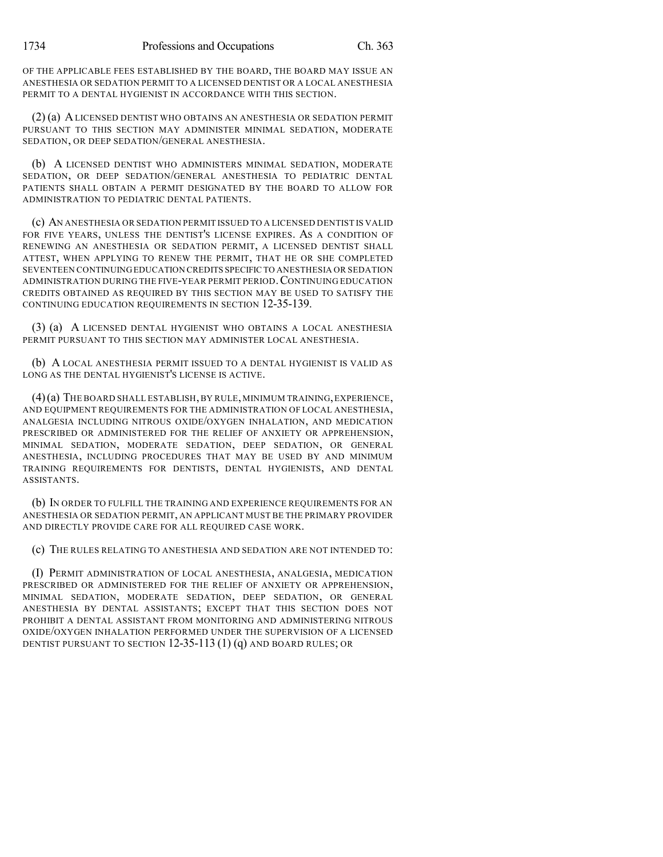OF THE APPLICABLE FEES ESTABLISHED BY THE BOARD, THE BOARD MAY ISSUE AN ANESTHESIA OR SEDATION PERMIT TO A LICENSED DENTIST OR A LOCAL ANESTHESIA PERMIT TO A DENTAL HYGIENIST IN ACCORDANCE WITH THIS SECTION.

(2) (a) ALICENSED DENTIST WHO OBTAINS AN ANESTHESIA OR SEDATION PERMIT PURSUANT TO THIS SECTION MAY ADMINISTER MINIMAL SEDATION, MODERATE SEDATION, OR DEEP SEDATION/GENERAL ANESTHESIA.

(b) A LICENSED DENTIST WHO ADMINISTERS MINIMAL SEDATION, MODERATE SEDATION, OR DEEP SEDATION/GENERAL ANESTHESIA TO PEDIATRIC DENTAL PATIENTS SHALL OBTAIN A PERMIT DESIGNATED BY THE BOARD TO ALLOW FOR ADMINISTRATION TO PEDIATRIC DENTAL PATIENTS.

(c) AN ANESTHESIA OR SEDATION PERMIT ISSUED TO A LICENSED DENTIST IS VALID FOR FIVE YEARS, UNLESS THE DENTIST'S LICENSE EXPIRES. AS A CONDITION OF RENEWING AN ANESTHESIA OR SEDATION PERMIT, A LICENSED DENTIST SHALL ATTEST, WHEN APPLYING TO RENEW THE PERMIT, THAT HE OR SHE COMPLETED SEVENTEEN CONTINUINGEDUCATION CREDITS SPECIFIC TO ANESTHESIA OR SEDATION ADMINISTRATION DURING THE FIVE-YEAR PERMIT PERIOD.CONTINUING EDUCATION CREDITS OBTAINED AS REQUIRED BY THIS SECTION MAY BE USED TO SATISFY THE CONTINUING EDUCATION REQUIREMENTS IN SECTION 12-35-139.

(3) (a) A LICENSED DENTAL HYGIENIST WHO OBTAINS A LOCAL ANESTHESIA PERMIT PURSUANT TO THIS SECTION MAY ADMINISTER LOCAL ANESTHESIA.

(b) A LOCAL ANESTHESIA PERMIT ISSUED TO A DENTAL HYGIENIST IS VALID AS LONG AS THE DENTAL HYGIENIST'S LICENSE IS ACTIVE.

(4)(a) THE BOARD SHALL ESTABLISH,BY RULE, MINIMUM TRAINING,EXPERIENCE, AND EQUIPMENT REQUIREMENTS FOR THE ADMINISTRATION OF LOCAL ANESTHESIA, ANALGESIA INCLUDING NITROUS OXIDE/OXYGEN INHALATION, AND MEDICATION PRESCRIBED OR ADMINISTERED FOR THE RELIEF OF ANXIETY OR APPREHENSION, MINIMAL SEDATION, MODERATE SEDATION, DEEP SEDATION, OR GENERAL ANESTHESIA, INCLUDING PROCEDURES THAT MAY BE USED BY AND MINIMUM TRAINING REQUIREMENTS FOR DENTISTS, DENTAL HYGIENISTS, AND DENTAL ASSISTANTS.

(b) IN ORDER TO FULFILL THE TRAINING AND EXPERIENCE REQUIREMENTS FOR AN ANESTHESIA OR SEDATION PERMIT, AN APPLICANT MUST BE THE PRIMARY PROVIDER AND DIRECTLY PROVIDE CARE FOR ALL REQUIRED CASE WORK.

(c) THE RULES RELATING TO ANESTHESIA AND SEDATION ARE NOT INTENDED TO:

(I) PERMIT ADMINISTRATION OF LOCAL ANESTHESIA, ANALGESIA, MEDICATION PRESCRIBED OR ADMINISTERED FOR THE RELIEF OF ANXIETY OR APPREHENSION, MINIMAL SEDATION, MODERATE SEDATION, DEEP SEDATION, OR GENERAL ANESTHESIA BY DENTAL ASSISTANTS; EXCEPT THAT THIS SECTION DOES NOT PROHIBIT A DENTAL ASSISTANT FROM MONITORING AND ADMINISTERING NITROUS OXIDE/OXYGEN INHALATION PERFORMED UNDER THE SUPERVISION OF A LICENSED DENTIST PURSUANT TO SECTION 12-35-113 (1) (q) AND BOARD RULES; OR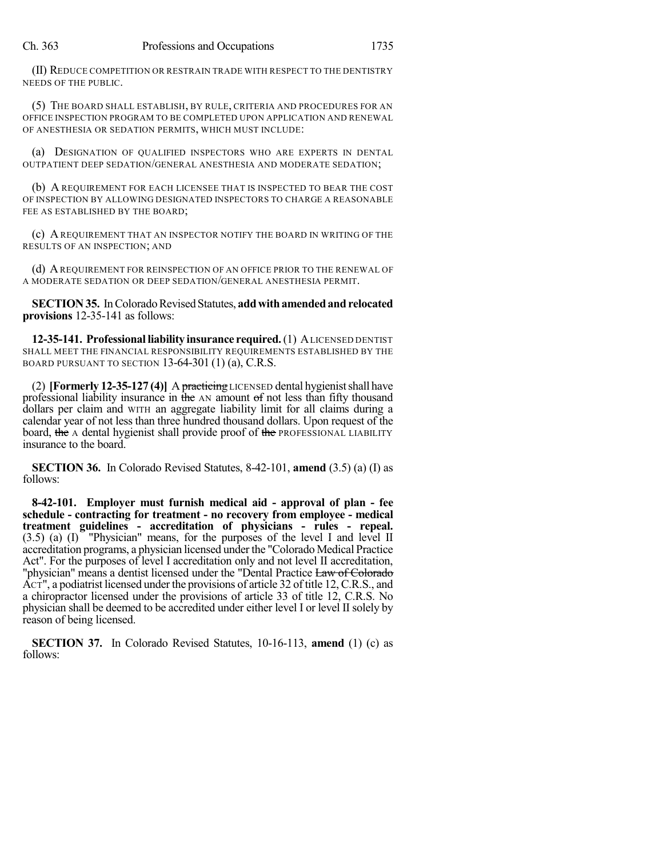(II) REDUCE COMPETITION OR RESTRAIN TRADE WITH RESPECT TO THE DENTISTRY NEEDS OF THE PUBLIC.

(5) THE BOARD SHALL ESTABLISH, BY RULE, CRITERIA AND PROCEDURES FOR AN OFFICE INSPECTION PROGRAM TO BE COMPLETED UPON APPLICATION AND RENEWAL OF ANESTHESIA OR SEDATION PERMITS, WHICH MUST INCLUDE:

(a) DESIGNATION OF QUALIFIED INSPECTORS WHO ARE EXPERTS IN DENTAL OUTPATIENT DEEP SEDATION/GENERAL ANESTHESIA AND MODERATE SEDATION;

(b) A REQUIREMENT FOR EACH LICENSEE THAT IS INSPECTED TO BEAR THE COST OF INSPECTION BY ALLOWING DESIGNATED INSPECTORS TO CHARGE A REASONABLE FEE AS ESTABLISHED BY THE BOARD;

(c) A REQUIREMENT THAT AN INSPECTOR NOTIFY THE BOARD IN WRITING OF THE RESULTS OF AN INSPECTION; AND

(d) AREQUIREMENT FOR REINSPECTION OF AN OFFICE PRIOR TO THE RENEWAL OF A MODERATE SEDATION OR DEEP SEDATION/GENERAL ANESTHESIA PERMIT.

**SECTION 35.** In Colorado Revised Statutes, add with amended and relocated **provisions** 12-35-141 as follows:

**12-35-141. Professional liability insurance required.**(1) ALICENSED DENTIST SHALL MEET THE FINANCIAL RESPONSIBILITY REQUIREMENTS ESTABLISHED BY THE BOARD PURSUANT TO SECTION 13-64-301 (1) (a), C.R.S.

(2) **[Formerly 12-35-127 (4)]** A practicing LICENSED dental hygienistshall have professional liability insurance in the AN amount of not less than fifty thousand dollars per claim and WITH an aggregate liability limit for all claims during a calendar year of not less than three hundred thousand dollars. Upon request of the board, the A dental hygienist shall provide proof of the PROFESSIONAL LIABILITY insurance to the board.

**SECTION 36.** In Colorado Revised Statutes, 8-42-101, **amend** (3.5) (a) (I) as follows:

**8-42-101. Employer must furnish medical aid - approval of plan - fee schedule - contracting for treatment - no recovery from employee - medical treatment guidelines - accreditation of physicians - rules - repeal.** (3.5) (a) (I) "Physician" means, for the purposes of the level I and level II accreditation programs, a physician licensed under the "Colorado Medical Practice Act". For the purposes of level I accreditation only and not level II accreditation, "physician" means a dentist licensed under the "Dental Practice Law of Colorado" ACT", a podiatrist licensed under the provisions of article 32 of title 12, C.R.S., and a chiropractor licensed under the provisions of article 33 of title 12, C.R.S. No physician shall be deemed to be accredited under either level I or level IIsolely by reason of being licensed.

**SECTION 37.** In Colorado Revised Statutes, 10-16-113, **amend** (1) (c) as follows: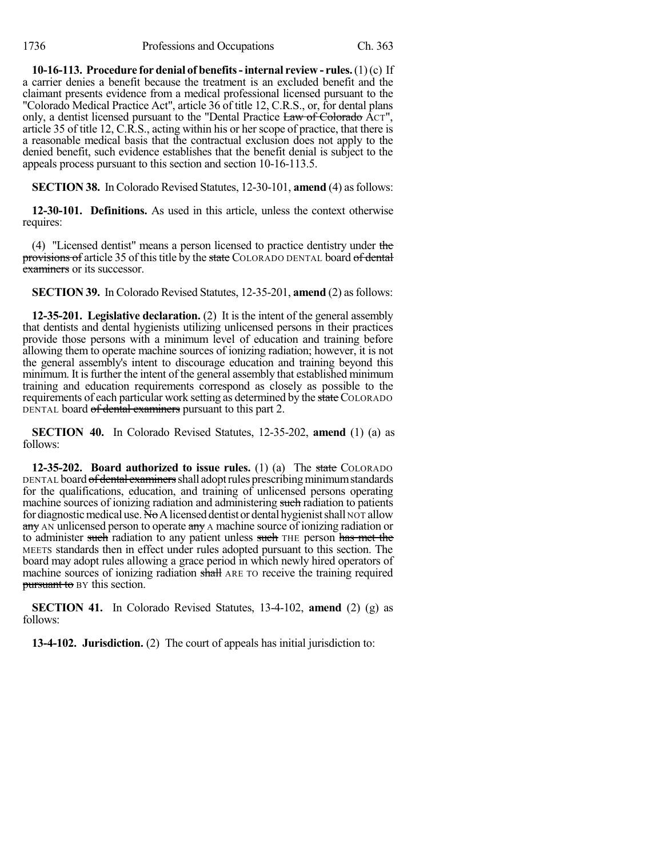**10-16-113. Procedure for denial of benefits-internal review - rules.**(1)(c) If a carrier denies a benefit because the treatment is an excluded benefit and the claimant presents evidence from a medical professional licensed pursuant to the "Colorado Medical Practice Act", article 36 of title 12, C.R.S., or, for dental plans only, a dentist licensed pursuant to the "Dental Practice Law of Colorado Act", article 35 of title 12, C.R.S., acting within his or her scope of practice, that there is a reasonable medical basis that the contractual exclusion does not apply to the denied benefit, such evidence establishes that the benefit denial is subject to the appeals process pursuant to this section and section 10-16-113.5.

**SECTION 38.** In Colorado Revised Statutes, 12-30-101, **amend** (4) as follows:

**12-30-101. Definitions.** As used in this article, unless the context otherwise requires:

(4) "Licensed dentist" means a person licensed to practice dentistry under the provisions of article 35 of this title by the state COLORADO DENTAL board of dental examiners or its successor.

**SECTION 39.** In Colorado Revised Statutes, 12-35-201, **amend** (2) as follows:

**12-35-201. Legislative declaration.** (2) It is the intent of the general assembly that dentists and dental hygienists utilizing unlicensed persons in their practices provide those persons with a minimum level of education and training before allowing them to operate machine sources of ionizing radiation; however, it is not the general assembly's intent to discourage education and training beyond this minimum. It is further the intent of the general assembly that established minimum training and education requirements correspond as closely as possible to the requirements of each particular work setting as determined by the state COLORADO DENTAL board of dental examiners pursuant to this part 2.

**SECTION 40.** In Colorado Revised Statutes, 12-35-202, **amend** (1) (a) as follows:

**12-35-202. Board authorized to issue rules.** (1) (a) The state COLORADO DENTAL board of dental examiners shall adopt rules prescribing minimum standards for the qualifications, education, and training of unlicensed persons operating machine sources of ionizing radiation and administering such radiation to patients for diagnostic medical use. No A licensed dentist or dental hygienist shall NOT allow any AN unlicensed person to operate any A machine source of ionizing radiation or to administer such radiation to any patient unless such THE person has met the MEETS standards then in effect under rules adopted pursuant to this section. The board may adopt rules allowing a grace period in which newly hired operators of machine sources of ionizing radiation shall ARE TO receive the training required pursuant to BY this section.

**SECTION 41.** In Colorado Revised Statutes, 13-4-102, **amend** (2) (g) as follows:

**13-4-102. Jurisdiction.** (2) The court of appeals has initial jurisdiction to: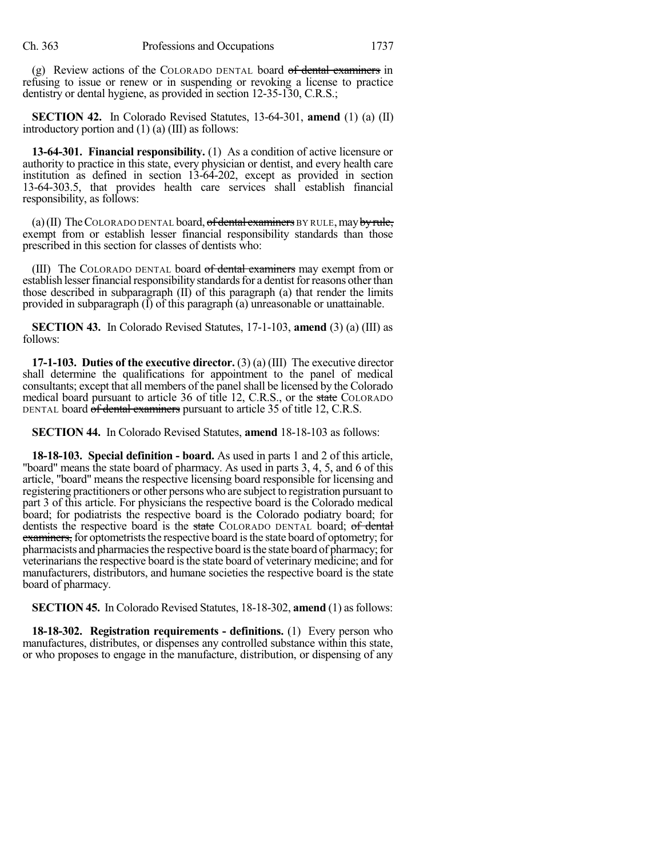(g) Review actions of the COLORADO DENTAL board of dental examiners in refusing to issue or renew or in suspending or revoking a license to practice dentistry or dental hygiene, as provided in section 12-35-130, C.R.S.;

**SECTION 42.** In Colorado Revised Statutes, 13-64-301, **amend** (1) (a) (II) introductory portion and (1) (a) (III) as follows:

**13-64-301. Financial responsibility.** (1) As a condition of active licensure or authority to practice in this state, every physician or dentist, and every health care institution as defined in section 13-64-202, except as provided in section 13-64-303.5, that provides health care services shall establish financial responsibility, as follows:

(a) (II) The COLORADO DENTAL board, of dental examiners BY RULE, may by rule, exempt from or establish lesser financial responsibility standards than those prescribed in this section for classes of dentists who:

(III) The COLORADO DENTAL board of dental examiners may exempt from or establish lesser financial responsibility standards for a dentist for reasons other than those described in subparagraph (II) of this paragraph (a) that render the limits provided in subparagraph  $(I)$  of this paragraph  $(a)$  unreasonable or unattainable.

**SECTION 43.** In Colorado Revised Statutes, 17-1-103, **amend** (3) (a) (III) as follows:

**17-1-103. Duties of the executive director.** (3) (a) (III) The executive director shall determine the qualifications for appointment to the panel of medical consultants; except that all members of the panel shall be licensed by the Colorado medical board pursuant to article 36 of title 12, C.R.S., or the state COLORADO DENTAL board of dental examiners pursuant to article 35 of title 12, C.R.S.

**SECTION 44.** In Colorado Revised Statutes, **amend** 18-18-103 as follows:

**18-18-103. Special definition - board.** As used in parts 1 and 2 of this article, "board" means the state board of pharmacy. As used in parts 3, 4, 5, and 6 of this article, "board" means the respective licensing board responsible for licensing and registering practitioners or other persons who are subject to registration pursuant to part 3 of this article. For physicians the respective board is the Colorado medical board; for podiatrists the respective board is the Colorado podiatry board; for dentists the respective board is the state COLORADO DENTAL board; of dental examiners, for optometrists the respective board is the state board of optometry; for pharmacists and pharmacies the respective board is the state board of pharmacy; for veterinarians the respective board is the state board of veterinary medicine; and for manufacturers, distributors, and humane societies the respective board is the state board of pharmacy.

**SECTION 45.** In Colorado Revised Statutes, 18-18-302, **amend** (1) as follows:

**18-18-302. Registration requirements - definitions.** (1) Every person who manufactures, distributes, or dispenses any controlled substance within this state, or who proposes to engage in the manufacture, distribution, or dispensing of any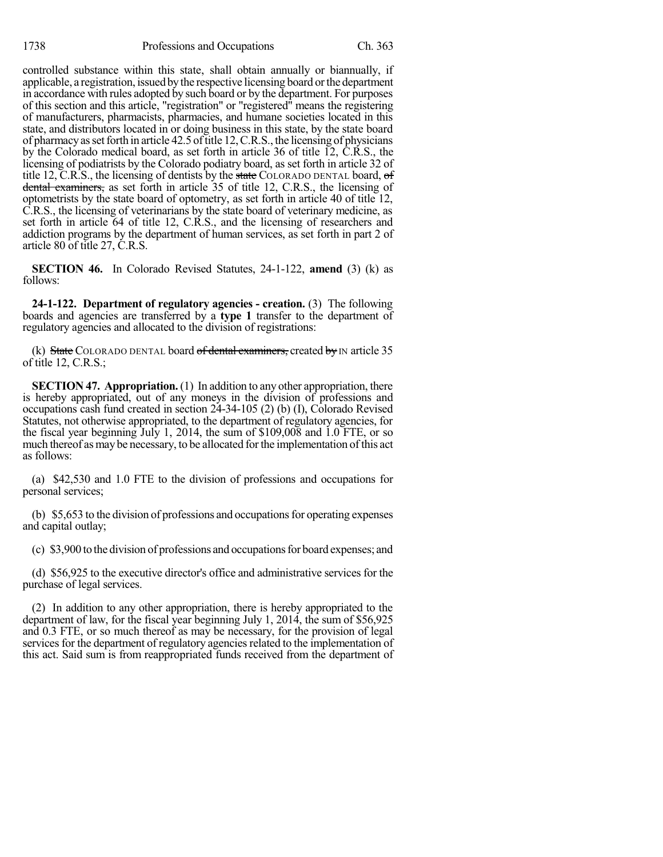controlled substance within this state, shall obtain annually or biannually, if applicable, a registration, issued bythe respective licensing board orthe department in accordance with rules adopted by such board or by the department. For purposes of this section and this article, "registration" or "registered" means the registering of manufacturers, pharmacists, pharmacies, and humane societies located in this state, and distributors located in or doing business in this state, by the state board of pharmacyassetforth in article 42.5 oftitle 12,C.R.S., the licensing of physicians by the Colorado medical board, as set forth in article 36 of title 12, C.R.S., the licensing of podiatrists by the Colorado podiatry board, as set forth in article 32 of title 12, C.R.S., the licensing of dentists by the state COLORADO DENTAL board,  $\sigma f$ dental examiners, as set forth in article 35 of title 12, C.R.S., the licensing of optometrists by the state board of optometry, as set forth in article 40 of title 12, C.R.S., the licensing of veterinarians by the state board of veterinary medicine, as set forth in article 64 of title 12, C.R.S., and the licensing of researchers and addiction programs by the department of human services, as set forth in part 2 of article 80 of title 27, C.R.S.

**SECTION 46.** In Colorado Revised Statutes, 24-1-122, **amend** (3) (k) as follows:

**24-1-122. Department of regulatory agencies - creation.** (3) The following boards and agencies are transferred by a **type 1** transfer to the department of regulatory agencies and allocated to the division of registrations:

(k) State COLORADO DENTAL board of dental examiners, created by IN article  $35$ of title 12, C.R.S.;

**SECTION 47. Appropriation.** (1) In addition to any other appropriation, there is hereby appropriated, out of any moneys in the division of professions and occupations cash fund created in section 24-34-105 (2) (b) (I), Colorado Revised Statutes, not otherwise appropriated, to the department of regulatory agencies, for the fiscal year beginning July 1, 2014, the sum of \$109,008 and 1.0 FTE, or so much thereof as may be necessary, to be allocated forthe implementation of this act as follows:

(a) \$42,530 and 1.0 FTE to the division of professions and occupations for personal services;

(b)  $$5,653$  to the division of professions and occupations for operating expenses and capital outlay;

(c) \$3,900 to the division of professions and occupations for board expenses; and

(d) \$56,925 to the executive director's office and administrative services for the purchase of legal services.

(2) In addition to any other appropriation, there is hereby appropriated to the department of law, for the fiscal year beginning July 1, 2014, the sum of \$56,925 and 0.3 FTE, or so much thereof as may be necessary, for the provision of legal services for the department of regulatory agencies related to the implementation of this act. Said sum is from reappropriated funds received from the department of